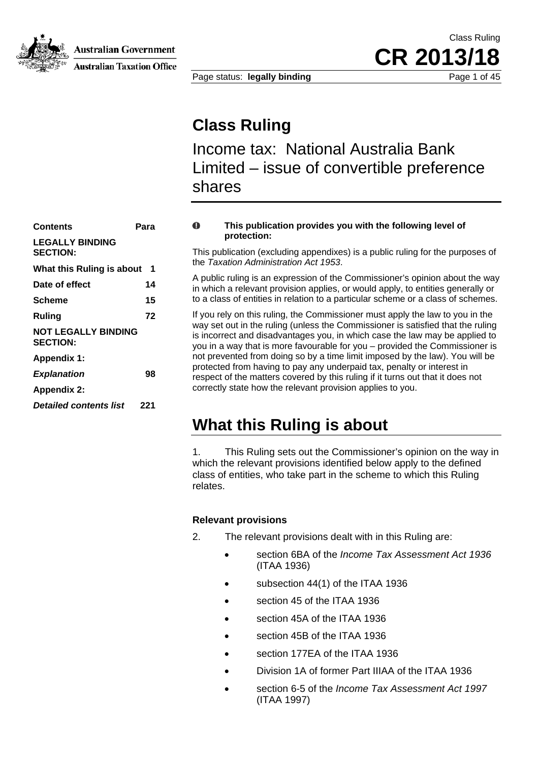

Australian Government

**Australian Taxation Office** 

Class Ruling **CR 2013/** 

Page status: **legally binding** Page 1 of 45

### **Class Ruling**

Income tax: National Australia Bank Limited – issue of convertible preference shares

| Contents                                      | Para |
|-----------------------------------------------|------|
| <b>LEGALLY BINDING</b><br><b>SECTION:</b>     |      |
| What this Ruling is about                     | 1    |
| Date of effect                                | 14   |
| Scheme                                        | 15   |
| Rulina                                        | 72   |
| <b>NOT LEGALLY BINDING</b><br><b>SECTION:</b> |      |
| <b>Appendix 1:</b>                            |      |
| <b>Explanation</b>                            | 98   |
| <b>Appendix 2:</b>                            |      |
| <b>Detailed contents list</b>                 | 221  |
|                                               |      |

#### **This publication provides you with the following level of**   $\mathbf 0$ **protection:**

This publication (excluding appendixes) is a public ruling for the purposes of the *Taxation Administration Act 1953*.

A public ruling is an expression of the Commissioner's opinion about the way in which a relevant provision applies, or would apply, to entities generally or to a class of entities in relation to a particular scheme or a class of schemes.

If you rely on this ruling, the Commissioner must apply the law to you in the way set out in the ruling (unless the Commissioner is satisfied that the ruling is incorrect and disadvantages you, in which case the law may be applied to you in a way that is more favourable for you – provided the Commissioner is not prevented from doing so by a time limit imposed by the law). You will be protected from having to pay any underpaid tax, penalty or interest in respect of the matters covered by this ruling if it turns out that it does not correctly state how the relevant provision applies to you.

### **What this Ruling is about**

1. This Ruling sets out the Commissioner's opinion on the way in which the relevant provisions identified below apply to the defined class of entities, who take part in the scheme to which this Ruling relates.

### **Relevant provisions**

- 2. The relevant provisions dealt with in this Ruling are:
	- section 6BA of the *Income Tax Assessment Act 1936* (ITAA 1936)
	- subsection 44(1) of the ITAA 1936
	- section 45 of the ITAA 1936
	- section 45A of the ITAA 1936
	- section 45B of the ITAA 1936
	- section 177FA of the ITAA 1936
	- Division 1A of former Part IIIAA of the ITAA 1936
	- section 6-5 of the *Income Tax Assessment Act 1997* (ITAA 1997)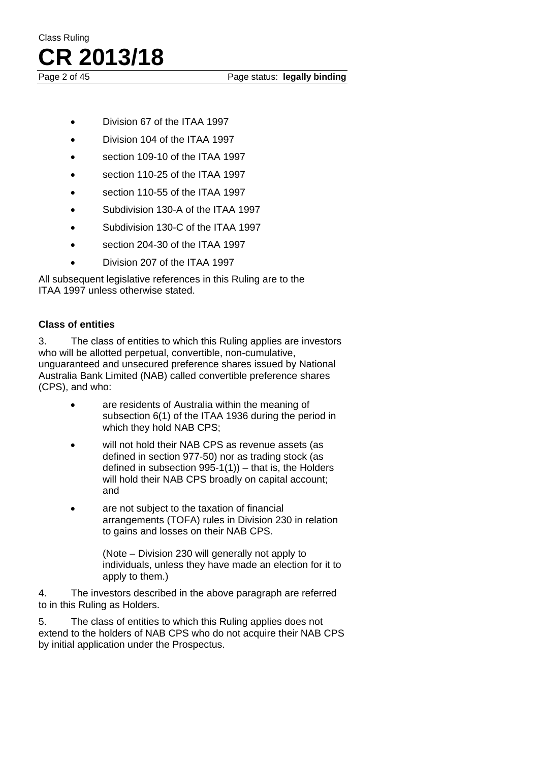Page 2 of 45 Page status: **legally binding** 

- Division 67 of the ITAA 1997
- Division 104 of the ITAA 1997
- section 109-10 of the ITAA 1997
- section 110-25 of the ITAA 1997
- section 110-55 of the ITAA 1997
- Subdivision 130-A of the ITAA 1997
- Subdivision 130-C of the ITAA 1997
- section 204-30 of the ITAA 1997
- Division 207 of the ITAA 1997

All subsequent legislative references in this Ruling are to the ITAA 1997 unless otherwise stated.

### **Class of entities**

3. The class of entities to which this Ruling applies are investors who will be allotted perpetual, convertible, non-cumulative, unguaranteed and unsecured preference shares issued by National Australia Bank Limited (NAB) called convertible preference shares (CPS), and who:

- are residents of Australia within the meaning of subsection 6(1) of the ITAA 1936 during the period in which they hold NAB CPS;
- will not hold their NAB CPS as revenue assets (as defined in section 977-50) nor as trading stock (as defined in subsection  $995-1(1)$ ) – that is, the Holders will hold their NAB CPS broadly on capital account; and
- are not subject to the taxation of financial arrangements (TOFA) rules in Division 230 in relation to gains and losses on their NAB CPS.

(Note – Division 230 will generally not apply to individuals, unless they have made an election for it to apply to them.)

4. The investors described in the above paragraph are referred to in this Ruling as Holders.

5. The class of entities to which this Ruling applies does not extend to the holders of NAB CPS who do not acquire their NAB CPS by initial application under the Prospectus.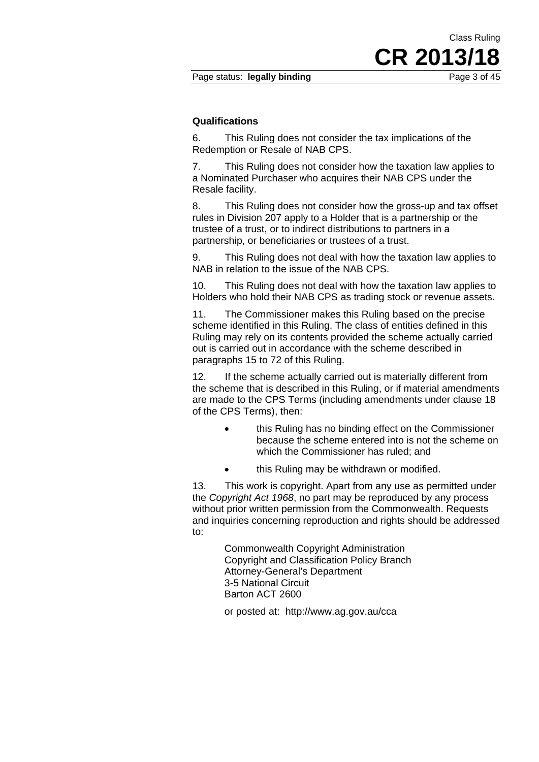#### **Qualifications**

6. This Ruling does not consider the tax implications of the Redemption or Resale of NAB CPS.

7. This Ruling does not consider how the taxation law applies to a Nominated Purchaser who acquires their NAB CPS under the Resale facility.

8. This Ruling does not consider how the gross-up and tax offset rules in Division 207 apply to a Holder that is a partnership or the trustee of a trust, or to indirect distributions to partners in a partnership, or beneficiaries or trustees of a trust.

9. This Ruling does not deal with how the taxation law applies to NAB in relation to the issue of the NAB CPS.

10. This Ruling does not deal with how the taxation law applies to Holders who hold their NAB CPS as trading stock or revenue assets.

11. The Commissioner makes this Ruling based on the precise scheme identified in this Ruling. The class of entities defined in this Ruling may rely on its contents provided the scheme actually carried out is carried out in accordance with the scheme described in paragraphs 15 to 72 of this Ruling.

12. If the scheme actually carried out is materially different from the scheme that is described in this Ruling, or if material amendments are made to the CPS Terms (including amendments under clause 18 of the CPS Terms), then:

- this Ruling has no binding effect on the Commissioner because the scheme entered into is not the scheme on which the Commissioner has ruled; and
- this Ruling may be withdrawn or modified.

13. This work is copyright. Apart from any use as permitted under the *Copyright Act 1968*, no part may be reproduced by any process without prior written permission from the Commonwealth. Requests and inquiries concerning reproduction and rights should be addressed to:

> Commonwealth Copyright Administration Copyright and Classification Policy Branch Attorney-General's Department 3-5 National Circuit Barton ACT 2600

or posted at: http://www.ag.gov.au/cca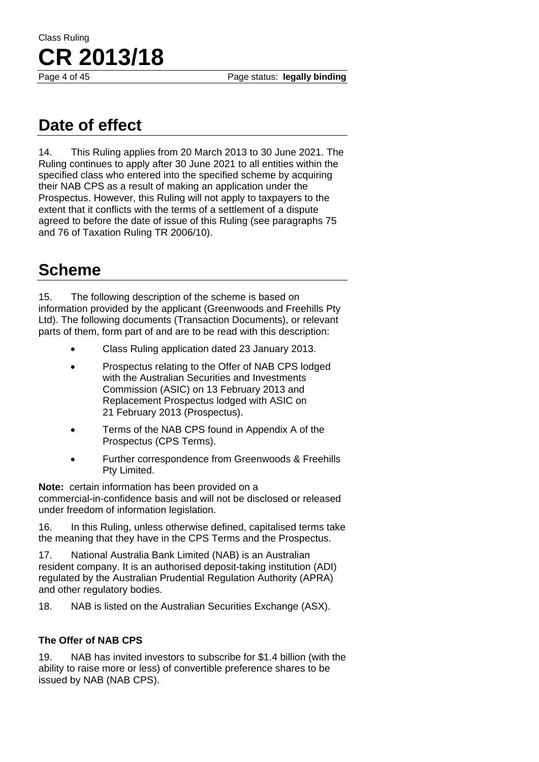Page 4 of 45 Page status: **legally binding** 

# Class Ruling **CR 2013/18**

### **Date of effect**

14. This Ruling applies from 20 March 2013 to 30 June 2021. The Ruling continues to apply after 30 June 2021 to all entities within the specified class who entered into the specified scheme by acquiring their NAB CPS as a result of making an application under the Prospectus. However, this Ruling will not apply to taxpayers to the extent that it conflicts with the terms of a settlement of a dispute agreed to before the date of issue of this Ruling (see paragraphs 75 and 76 of Taxation Ruling TR 2006/10).

## **Scheme**

15. The following description of the scheme is based on information provided by the applicant (Greenwoods and Freehills Pty Ltd). The following documents (Transaction Documents), or relevant parts of them, form part of and are to be read with this description:

- Class Ruling application dated 23 January 2013.
- Prospectus relating to the Offer of NAB CPS lodged with the Australian Securities and Investments Commission (ASIC) on 13 February 2013 and Replacement Prospectus lodged with ASIC on 21 February 2013 (Prospectus).
- Terms of the NAB CPS found in Appendix A of the Prospectus (CPS Terms).
- Further correspondence from Greenwoods & Freehills Pty Limited.

**Note:** certain information has been provided on a commercial-in-confidence basis and will not be disclosed or released under freedom of information legislation.

16. In this Ruling, unless otherwise defined, capitalised terms take the meaning that they have in the CPS Terms and the Prospectus.

17. National Australia Bank Limited (NAB) is an Australian resident company. It is an authorised deposit-taking institution (ADI) regulated by the Australian Prudential Regulation Authority (APRA) and other regulatory bodies.

18. NAB is listed on the Australian Securities Exchange (ASX).

### **The Offer of NAB CPS**

19. NAB has invited investors to subscribe for \$1.4 billion (with the ability to raise more or less) of convertible preference shares to be issued by NAB (NAB CPS).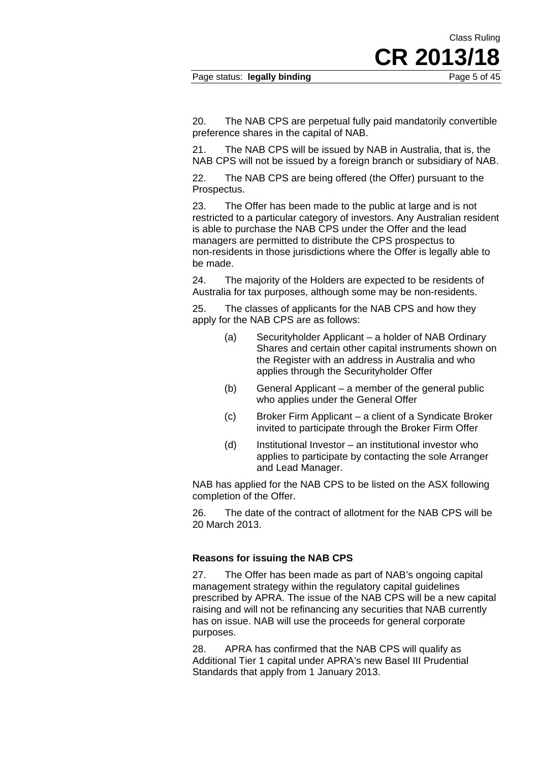Page status: **legally binding Page 5 of 45** 

CR 2013/

Class Ruling

20. The NAB CPS are perpetual fully paid mandatorily convertible preference shares in the capital of NAB.

21. The NAB CPS will be issued by NAB in Australia, that is, the NAB CPS will not be issued by a foreign branch or subsidiary of NAB.

22. The NAB CPS are being offered (the Offer) pursuant to the Prospectus.

23. The Offer has been made to the public at large and is not restricted to a particular category of investors. Any Australian resident is able to purchase the NAB CPS under the Offer and the lead managers are permitted to distribute the CPS prospectus to non-residents in those jurisdictions where the Offer is legally able to be made.

24. The majority of the Holders are expected to be residents of Australia for tax purposes, although some may be non-residents.

25. The classes of applicants for the NAB CPS and how they apply for the NAB CPS are as follows:

- (a) Securityholder Applicant a holder of NAB Ordinary Shares and certain other capital instruments shown on the Register with an address in Australia and who applies through the Securityholder Offer
- (b) General Applicant a member of the general public who applies under the General Offer
- (c) Broker Firm Applicant a client of a Syndicate Broker invited to participate through the Broker Firm Offer
- (d) Institutional Investor an institutional investor who applies to participate by contacting the sole Arranger and Lead Manager.

NAB has applied for the NAB CPS to be listed on the ASX following completion of the Offer.

26. The date of the contract of allotment for the NAB CPS will be 20 March 2013.

### **Reasons for issuing the NAB CPS**

27. The Offer has been made as part of NAB's ongoing capital management strategy within the regulatory capital guidelines prescribed by APRA. The issue of the NAB CPS will be a new capital raising and will not be refinancing any securities that NAB currently has on issue. NAB will use the proceeds for general corporate purposes.

28. APRA has confirmed that the NAB CPS will qualify as Additional Tier 1 capital under APRA's new Basel III Prudential Standards that apply from 1 January 2013.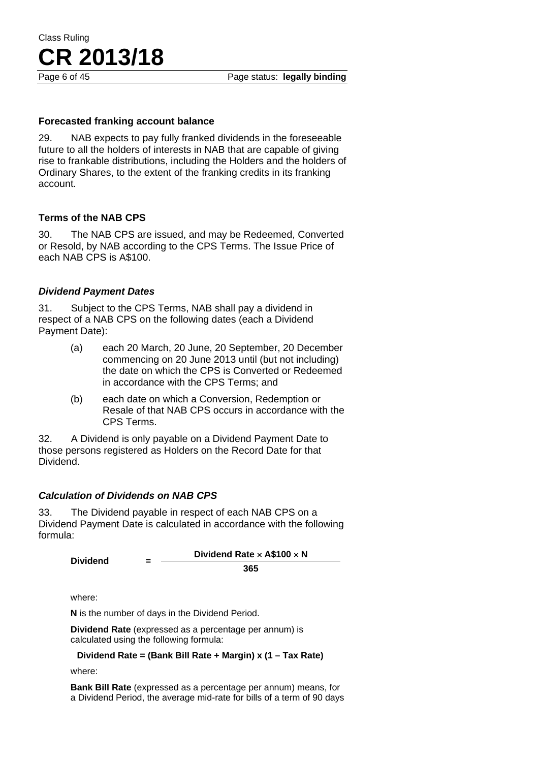### **Forecasted franking account balance**

29. NAB expects to pay fully franked dividends in the foreseeable future to all the holders of interests in NAB that are capable of giving rise to frankable distributions, including the Holders and the holders of Ordinary Shares, to the extent of the franking credits in its franking account.

### **Terms of the NAB CPS**

30. The NAB CPS are issued, and may be Redeemed, Converted or Resold, by NAB according to the CPS Terms. The Issue Price of each NAB CPS is A\$100.

### *Dividend Payment Dates*

31. Subject to the CPS Terms, NAB shall pay a dividend in respect of a NAB CPS on the following dates (each a Dividend Payment Date):

- (a) each 20 March, 20 June, 20 September, 20 December commencing on 20 June 2013 until (but not including) the date on which the CPS is Converted or Redeemed in accordance with the CPS Terms; and
- (b) each date on which a Conversion, Redemption or Resale of that NAB CPS occurs in accordance with the CPS Terms.

32. A Dividend is only payable on a Dividend Payment Date to those persons registered as Holders on the Record Date for that Dividend.

### *Calculation of Dividends on NAB CPS*

33. The Dividend payable in respect of each NAB CPS on a Dividend Payment Date is calculated in accordance with the following formula:

| <b>Dividend</b> | Dividend Rate $\times$ A\$100 $\times$ N |
|-----------------|------------------------------------------|
|                 | 365                                      |

where:

**N** is the number of days in the Dividend Period.

**Dividend Rate** (expressed as a percentage per annum) is calculated using the following formula:

**Dividend Rate = (Bank Bill Rate + Margin) x (1 – Tax Rate)** 

where:

**Bank Bill Rate** (expressed as a percentage per annum) means, for a Dividend Period, the average mid-rate for bills of a term of 90 days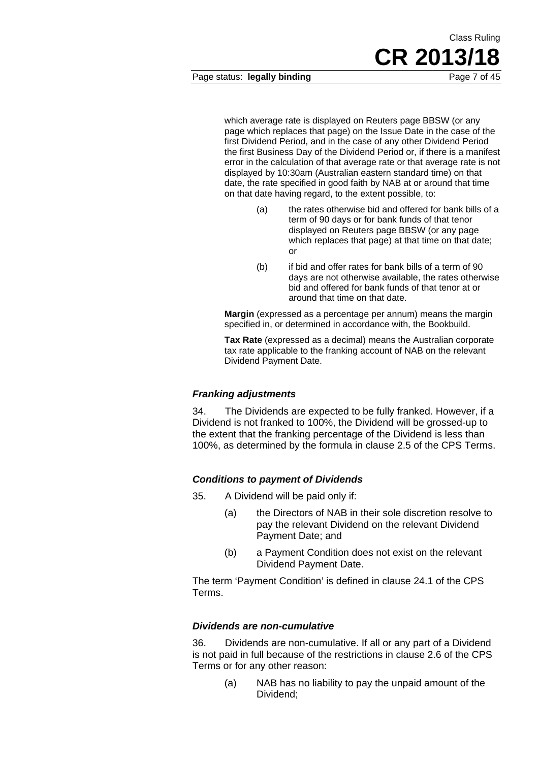Page status: **legally binding** Page 7 of 45

which average rate is displayed on Reuters page BBSW (or any page which replaces that page) on the Issue Date in the case of the first Dividend Period, and in the case of any other Dividend Period the first Business Day of the Dividend Period or, if there is a manifest error in the calculation of that average rate or that average rate is not displayed by 10:30am (Australian eastern standard time) on that date, the rate specified in good faith by NAB at or around that time on that date having regard, to the extent possible, to:

- (a) the rates otherwise bid and offered for bank bills of a term of 90 days or for bank funds of that tenor displayed on Reuters page BBSW (or any page which replaces that page) at that time on that date; or
- (b) if bid and offer rates for bank bills of a term of 90 days are not otherwise available, the rates otherwise bid and offered for bank funds of that tenor at or around that time on that date.

**Margin** (expressed as a percentage per annum) means the margin specified in, or determined in accordance with, the Bookbuild.

**Tax Rate** (expressed as a decimal) means the Australian corporate tax rate applicable to the franking account of NAB on the relevant Dividend Payment Date.

### *Franking adjustments*

34. The Dividends are expected to be fully franked. However, if a Dividend is not franked to 100%, the Dividend will be grossed-up to the extent that the franking percentage of the Dividend is less than 100%, as determined by the formula in clause 2.5 of the CPS Terms.

### *Conditions to payment of Dividends*

- 35. A Dividend will be paid only if:
	- (a) the Directors of NAB in their sole discretion resolve to pay the relevant Dividend on the relevant Dividend Payment Date; and
	- (b) a Payment Condition does not exist on the relevant Dividend Payment Date.

The term 'Payment Condition' is defined in clause 24.1 of the CPS Terms.

### *Dividends are non-cumulative*

36. Dividends are non-cumulative. If all or any part of a Dividend is not paid in full because of the restrictions in clause 2.6 of the CPS Terms or for any other reason:

(a) NAB has no liability to pay the unpaid amount of the Dividend;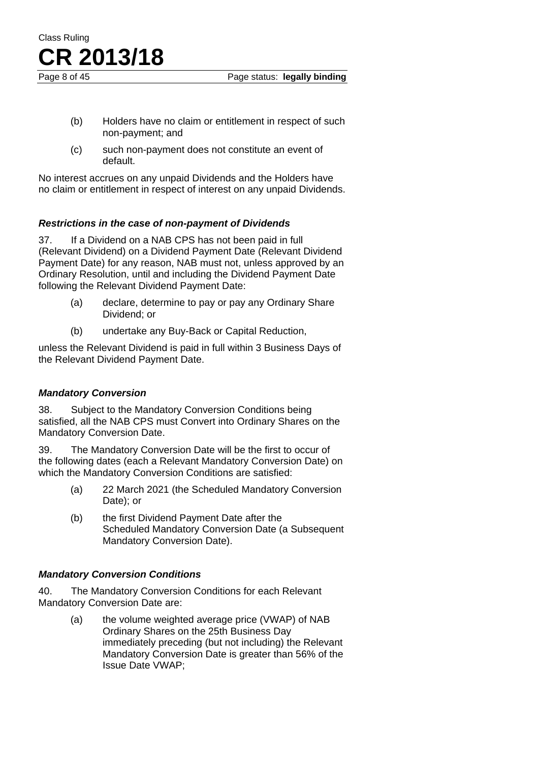Page 8 of 45 Page status: **legally binding** 

- (b) Holders have no claim or entitlement in respect of such non-payment; and
- (c) such non-payment does not constitute an event of default.

No interest accrues on any unpaid Dividends and the Holders have no claim or entitlement in respect of interest on any unpaid Dividends.

### *Restrictions in the case of non-payment of Dividends*

37. If a Dividend on a NAB CPS has not been paid in full (Relevant Dividend) on a Dividend Payment Date (Relevant Dividend Payment Date) for any reason, NAB must not, unless approved by an Ordinary Resolution, until and including the Dividend Payment Date following the Relevant Dividend Payment Date:

- (a) declare, determine to pay or pay any Ordinary Share Dividend; or
- (b) undertake any Buy-Back or Capital Reduction,

unless the Relevant Dividend is paid in full within 3 Business Days of the Relevant Dividend Payment Date.

### *Mandatory Conversion*

Class Ruling

**CR 2013/18**

38. Subject to the Mandatory Conversion Conditions being satisfied, all the NAB CPS must Convert into Ordinary Shares on the Mandatory Conversion Date.

39. The Mandatory Conversion Date will be the first to occur of the following dates (each a Relevant Mandatory Conversion Date) on which the Mandatory Conversion Conditions are satisfied:

- (a) 22 March 2021 (the Scheduled Mandatory Conversion Date); or
- (b) the first Dividend Payment Date after the Scheduled Mandatory Conversion Date (a Subsequent Mandatory Conversion Date).

### *Mandatory Conversion Conditions*

40. The Mandatory Conversion Conditions for each Relevant Mandatory Conversion Date are:

> (a) the volume weighted average price (VWAP) of NAB Ordinary Shares on the 25th Business Day immediately preceding (but not including) the Relevant Mandatory Conversion Date is greater than 56% of the Issue Date VWAP;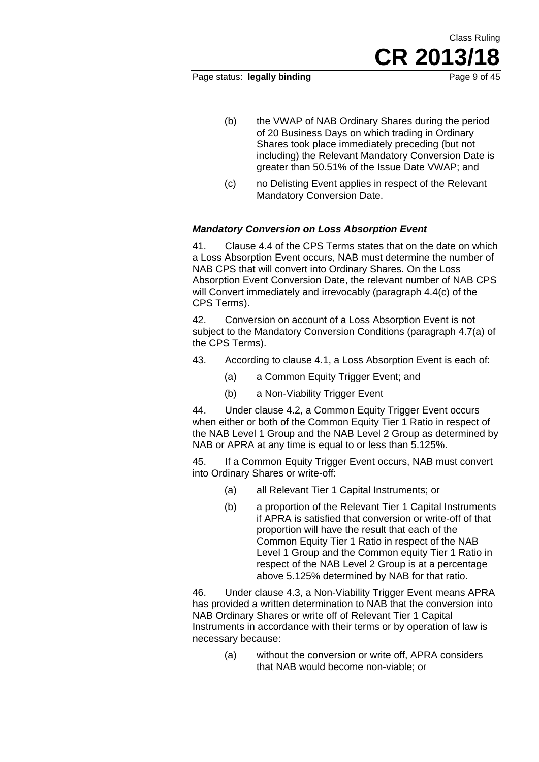Class Ruling

- (b) the VWAP of NAB Ordinary Shares during the period of 20 Business Days on which trading in Ordinary Shares took place immediately preceding (but not including) the Relevant Mandatory Conversion Date is greater than 50.51% of the Issue Date VWAP; and
- (c) no Delisting Event applies in respect of the Relevant Mandatory Conversion Date.

### *Mandatory Conversion on Loss Absorption Event*

41. Clause 4.4 of the CPS Terms states that on the date on which a Loss Absorption Event occurs, NAB must determine the number of NAB CPS that will convert into Ordinary Shares. On the Loss Absorption Event Conversion Date, the relevant number of NAB CPS will Convert immediately and irrevocably (paragraph 4.4(c) of the CPS Terms).

42. Conversion on account of a Loss Absorption Event is not subject to the Mandatory Conversion Conditions (paragraph 4.7(a) of the CPS Terms).

- 43. According to clause 4.1, a Loss Absorption Event is each of:
	- (a) a Common Equity Trigger Event; and
	- (b) a Non-Viability Trigger Event

44. Under clause 4.2, a Common Equity Trigger Event occurs when either or both of the Common Equity Tier 1 Ratio in respect of the NAB Level 1 Group and the NAB Level 2 Group as determined by NAB or APRA at any time is equal to or less than 5.125%.

45. If a Common Equity Trigger Event occurs, NAB must convert into Ordinary Shares or write-off:

- (a) all Relevant Tier 1 Capital Instruments; or
- (b) a proportion of the Relevant Tier 1 Capital Instruments if APRA is satisfied that conversion or write-off of that proportion will have the result that each of the Common Equity Tier 1 Ratio in respect of the NAB Level 1 Group and the Common equity Tier 1 Ratio in respect of the NAB Level 2 Group is at a percentage above 5.125% determined by NAB for that ratio.

46. Under clause 4.3, a Non-Viability Trigger Event means APRA has provided a written determination to NAB that the conversion into NAB Ordinary Shares or write off of Relevant Tier 1 Capital Instruments in accordance with their terms or by operation of law is necessary because:

> (a) without the conversion or write off, APRA considers that NAB would become non-viable; or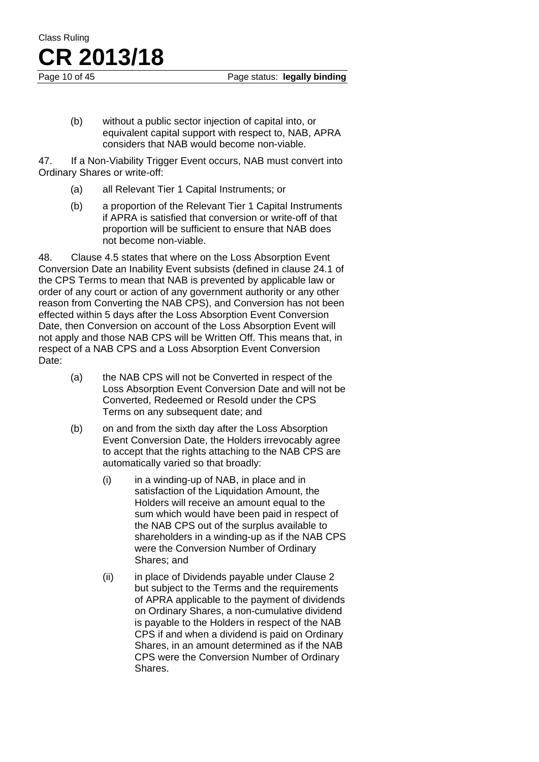Page 10 of 45 Page status: **legally binding** 

(b) without a public sector injection of capital into, or equivalent capital support with respect to, NAB, APRA considers that NAB would become non-viable.

47. If a Non-Viability Trigger Event occurs, NAB must convert into Ordinary Shares or write-off:

- (a) all Relevant Tier 1 Capital Instruments; or
- (b) a proportion of the Relevant Tier 1 Capital Instruments if APRA is satisfied that conversion or write-off of that proportion will be sufficient to ensure that NAB does not become non-viable.

48. Clause 4.5 states that where on the Loss Absorption Event Conversion Date an Inability Event subsists (defined in clause 24.1 of the CPS Terms to mean that NAB is prevented by applicable law or order of any court or action of any government authority or any other reason from Converting the NAB CPS), and Conversion has not been effected within 5 days after the Loss Absorption Event Conversion Date, then Conversion on account of the Loss Absorption Event will not apply and those NAB CPS will be Written Off. This means that, in respect of a NAB CPS and a Loss Absorption Event Conversion Date:

- (a) the NAB CPS will not be Converted in respect of the Loss Absorption Event Conversion Date and will not be Converted, Redeemed or Resold under the CPS Terms on any subsequent date; and
- (b) on and from the sixth day after the Loss Absorption Event Conversion Date, the Holders irrevocably agree to accept that the rights attaching to the NAB CPS are automatically varied so that broadly:
	- (i) in a winding-up of NAB, in place and in satisfaction of the Liquidation Amount, the Holders will receive an amount equal to the sum which would have been paid in respect of the NAB CPS out of the surplus available to shareholders in a winding-up as if the NAB CPS were the Conversion Number of Ordinary Shares; and
	- (ii) in place of Dividends payable under Clause 2 but subject to the Terms and the requirements of APRA applicable to the payment of dividends on Ordinary Shares, a non-cumulative dividend is payable to the Holders in respect of the NAB CPS if and when a dividend is paid on Ordinary Shares, in an amount determined as if the NAB CPS were the Conversion Number of Ordinary Shares.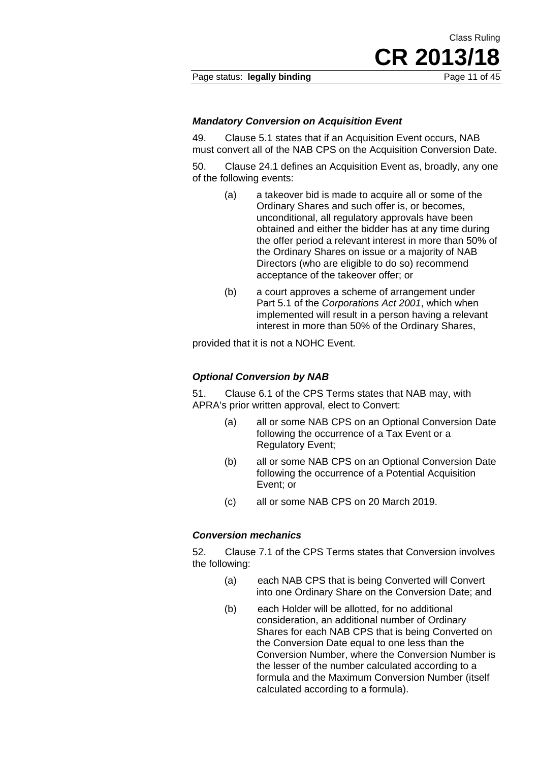Page status: **legally binding** Page 11 of 45

CR 2013/

Class Ruling

### *Mandatory Conversion on Acquisition Event*

49. Clause 5.1 states that if an Acquisition Event occurs, NAB must convert all of the NAB CPS on the Acquisition Conversion Date.

50. Clause 24.1 defines an Acquisition Event as, broadly, any one of the following events:

- (a) a takeover bid is made to acquire all or some of the Ordinary Shares and such offer is, or becomes, unconditional, all regulatory approvals have been obtained and either the bidder has at any time during the offer period a relevant interest in more than 50% of the Ordinary Shares on issue or a majority of NAB Directors (who are eligible to do so) recommend acceptance of the takeover offer; or
- (b) a court approves a scheme of arrangement under Part 5.1 of the *Corporations Act 2001*, which when implemented will result in a person having a relevant interest in more than 50% of the Ordinary Shares,

provided that it is not a NOHC Event.

### *Optional Conversion by NAB*

51. Clause 6.1 of the CPS Terms states that NAB may, with APRA's prior written approval, elect to Convert:

- (a) all or some NAB CPS on an Optional Conversion Date following the occurrence of a Tax Event or a Regulatory Event;
- (b) all or some NAB CPS on an Optional Conversion Date following the occurrence of a Potential Acquisition Event; or
- (c) all or some NAB CPS on 20 March 2019.

### *Conversion mechanics*

52. Clause 7.1 of the CPS Terms states that Conversion involves the following:

- (a) each NAB CPS that is being Converted will Convert into one Ordinary Share on the Conversion Date; and
- (b) each Holder will be allotted, for no additional consideration, an additional number of Ordinary Shares for each NAB CPS that is being Converted on the Conversion Date equal to one less than the Conversion Number, where the Conversion Number is the lesser of the number calculated according to a formula and the Maximum Conversion Number (itself calculated according to a formula).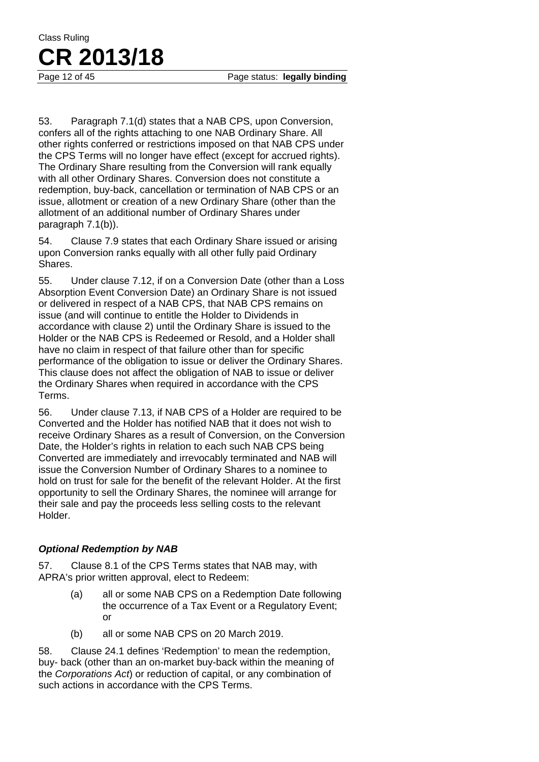53. Paragraph 7.1(d) states that a NAB CPS, upon Conversion, confers all of the rights attaching to one NAB Ordinary Share. All other rights conferred or restrictions imposed on that NAB CPS under the CPS Terms will no longer have effect (except for accrued rights). The Ordinary Share resulting from the Conversion will rank equally with all other Ordinary Shares. Conversion does not constitute a redemption, buy-back, cancellation or termination of NAB CPS or an issue, allotment or creation of a new Ordinary Share (other than the allotment of an additional number of Ordinary Shares under paragraph 7.1(b)).

54. Clause 7.9 states that each Ordinary Share issued or arising upon Conversion ranks equally with all other fully paid Ordinary Shares.

55. Under clause 7.12, if on a Conversion Date (other than a Loss Absorption Event Conversion Date) an Ordinary Share is not issued or delivered in respect of a NAB CPS, that NAB CPS remains on issue (and will continue to entitle the Holder to Dividends in accordance with clause 2) until the Ordinary Share is issued to the Holder or the NAB CPS is Redeemed or Resold, and a Holder shall have no claim in respect of that failure other than for specific performance of the obligation to issue or deliver the Ordinary Shares. This clause does not affect the obligation of NAB to issue or deliver the Ordinary Shares when required in accordance with the CPS Terms.

56. Under clause 7.13, if NAB CPS of a Holder are required to be Converted and the Holder has notified NAB that it does not wish to receive Ordinary Shares as a result of Conversion, on the Conversion Date, the Holder's rights in relation to each such NAB CPS being Converted are immediately and irrevocably terminated and NAB will issue the Conversion Number of Ordinary Shares to a nominee to hold on trust for sale for the benefit of the relevant Holder. At the first opportunity to sell the Ordinary Shares, the nominee will arrange for their sale and pay the proceeds less selling costs to the relevant Holder.

### *Optional Redemption by NAB*

57. Clause 8.1 of the CPS Terms states that NAB may, with APRA's prior written approval, elect to Redeem:

- (a) all or some NAB CPS on a Redemption Date following the occurrence of a Tax Event or a Regulatory Event; or
- (b) all or some NAB CPS on 20 March 2019.

58. Clause 24.1 defines 'Redemption' to mean the redemption, buy- back (other than an on-market buy-back within the meaning of the *Corporations Act*) or reduction of capital, or any combination of such actions in accordance with the CPS Terms.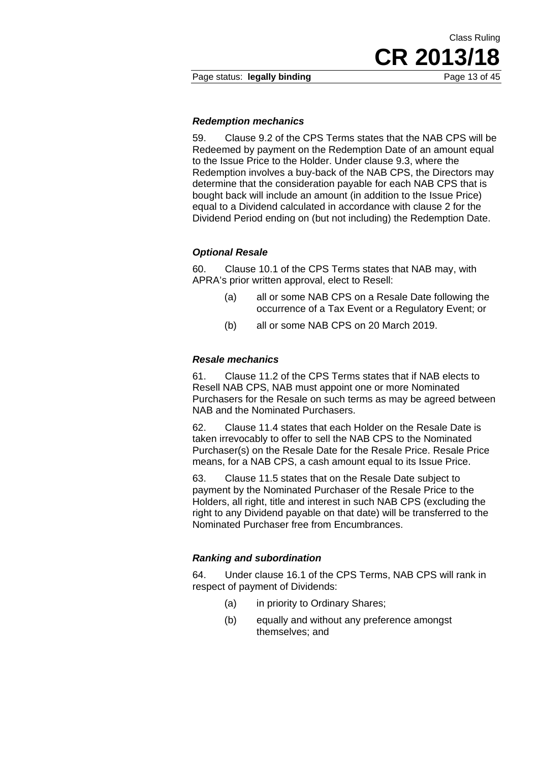**CR 2013/18** 

Class Ruling

### *Redemption mechanics*

59. Clause 9.2 of the CPS Terms states that the NAB CPS will be Redeemed by payment on the Redemption Date of an amount equal to the Issue Price to the Holder. Under clause 9.3, where the Redemption involves a buy-back of the NAB CPS, the Directors may determine that the consideration payable for each NAB CPS that is bought back will include an amount (in addition to the Issue Price) equal to a Dividend calculated in accordance with clause 2 for the Dividend Period ending on (but not including) the Redemption Date.

### *Optional Resale*

60. Clause 10.1 of the CPS Terms states that NAB may, with APRA's prior written approval, elect to Resell:

- (a) all or some NAB CPS on a Resale Date following the occurrence of a Tax Event or a Regulatory Event; or
- (b) all or some NAB CPS on 20 March 2019.

#### *Resale mechanics*

61. Clause 11.2 of the CPS Terms states that if NAB elects to Resell NAB CPS, NAB must appoint one or more Nominated Purchasers for the Resale on such terms as may be agreed between NAB and the Nominated Purchasers.

62. Clause 11.4 states that each Holder on the Resale Date is taken irrevocably to offer to sell the NAB CPS to the Nominated Purchaser(s) on the Resale Date for the Resale Price. Resale Price means, for a NAB CPS, a cash amount equal to its Issue Price.

63. Clause 11.5 states that on the Resale Date subject to payment by the Nominated Purchaser of the Resale Price to the Holders, all right, title and interest in such NAB CPS (excluding the right to any Dividend payable on that date) will be transferred to the Nominated Purchaser free from Encumbrances.

### *Ranking and subordination*

64. Under clause 16.1 of the CPS Terms, NAB CPS will rank in respect of payment of Dividends:

- (a) in priority to Ordinary Shares;
- (b) equally and without any preference amongst themselves; and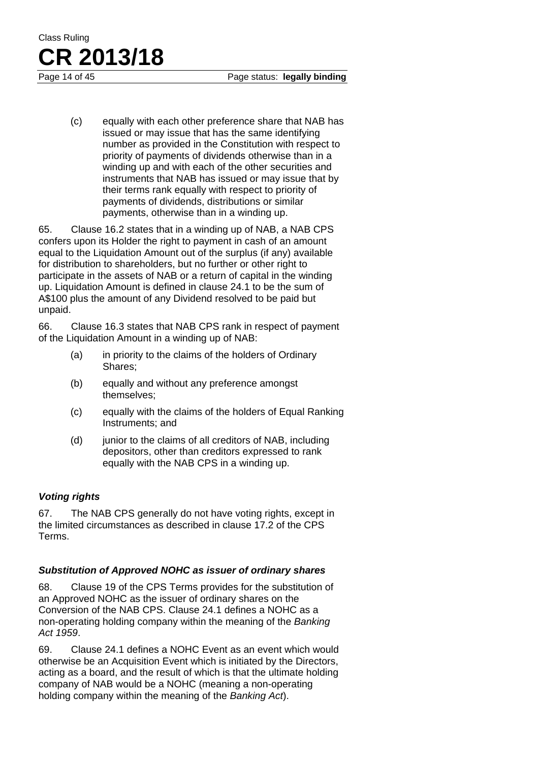(c) equally with each other preference share that NAB has issued or may issue that has the same identifying number as provided in the Constitution with respect to priority of payments of dividends otherwise than in a winding up and with each of the other securities and instruments that NAB has issued or may issue that by their terms rank equally with respect to priority of payments of dividends, distributions or similar payments, otherwise than in a winding up.

65. Clause 16.2 states that in a winding up of NAB, a NAB CPS confers upon its Holder the right to payment in cash of an amount equal to the Liquidation Amount out of the surplus (if any) available for distribution to shareholders, but no further or other right to participate in the assets of NAB or a return of capital in the winding up. Liquidation Amount is defined in clause 24.1 to be the sum of A\$100 plus the amount of any Dividend resolved to be paid but unpaid.

66. Clause 16.3 states that NAB CPS rank in respect of payment of the Liquidation Amount in a winding up of NAB:

- (a) in priority to the claims of the holders of Ordinary Shares;
- (b) equally and without any preference amongst themselves;
- (c) equally with the claims of the holders of Equal Ranking Instruments; and
- (d) junior to the claims of all creditors of NAB, including depositors, other than creditors expressed to rank equally with the NAB CPS in a winding up.

### *Voting rights*

67. The NAB CPS generally do not have voting rights, except in the limited circumstances as described in clause 17.2 of the CPS Terms.

### *Substitution of Approved NOHC as issuer of ordinary shares*

68. Clause 19 of the CPS Terms provides for the substitution of an Approved NOHC as the issuer of ordinary shares on the Conversion of the NAB CPS. Clause 24.1 defines a NOHC as a non-operating holding company within the meaning of the *Banking Act 1959*.

69. Clause 24.1 defines a NOHC Event as an event which would otherwise be an Acquisition Event which is initiated by the Directors, acting as a board, and the result of which is that the ultimate holding company of NAB would be a NOHC (meaning a non-operating holding company within the meaning of the *Banking Act*).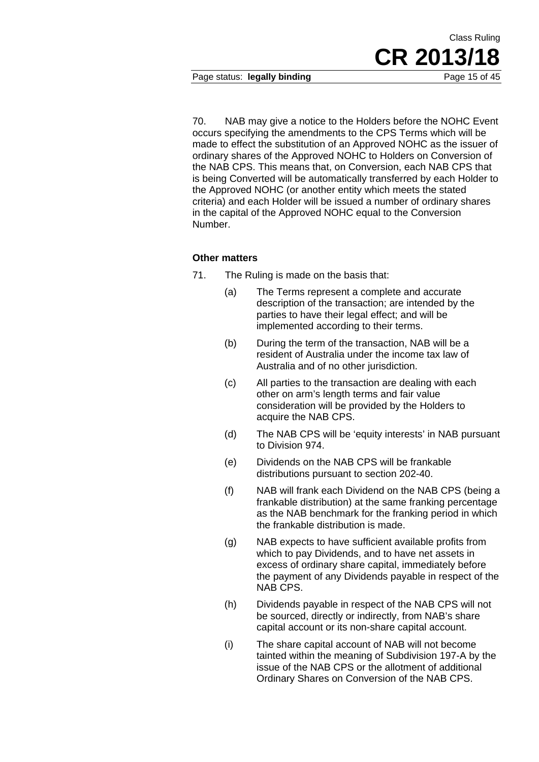Page status: **legally binding** Page 15 of 45

70. NAB may give a notice to the Holders before the NOHC Event occurs specifying the amendments to the CPS Terms which will be made to effect the substitution of an Approved NOHC as the issuer of ordinary shares of the Approved NOHC to Holders on Conversion of the NAB CPS. This means that, on Conversion, each NAB CPS that is being Converted will be automatically transferred by each Holder to the Approved NOHC (or another entity which meets the stated criteria) and each Holder will be issued a number of ordinary shares in the capital of the Approved NOHC equal to the Conversion Number.

### **Other matters**

- 71. The Ruling is made on the basis that:
	- (a) The Terms represent a complete and accurate description of the transaction; are intended by the parties to have their legal effect; and will be implemented according to their terms.
	- (b) During the term of the transaction, NAB will be a resident of Australia under the income tax law of Australia and of no other jurisdiction.
	- (c) All parties to the transaction are dealing with each other on arm's length terms and fair value consideration will be provided by the Holders to acquire the NAB CPS.
	- (d) The NAB CPS will be 'equity interests' in NAB pursuant to Division 974.
	- (e) Dividends on the NAB CPS will be frankable distributions pursuant to section 202-40.
	- (f) NAB will frank each Dividend on the NAB CPS (being a frankable distribution) at the same franking percentage as the NAB benchmark for the franking period in which the frankable distribution is made.
	- (g) NAB expects to have sufficient available profits from which to pay Dividends, and to have net assets in excess of ordinary share capital, immediately before the payment of any Dividends payable in respect of the NAB CPS.
	- (h) Dividends payable in respect of the NAB CPS will not be sourced, directly or indirectly, from NAB's share capital account or its non-share capital account.
	- (i) The share capital account of NAB will not become tainted within the meaning of Subdivision 197-A by the issue of the NAB CPS or the allotment of additional Ordinary Shares on Conversion of the NAB CPS.

Class Ruling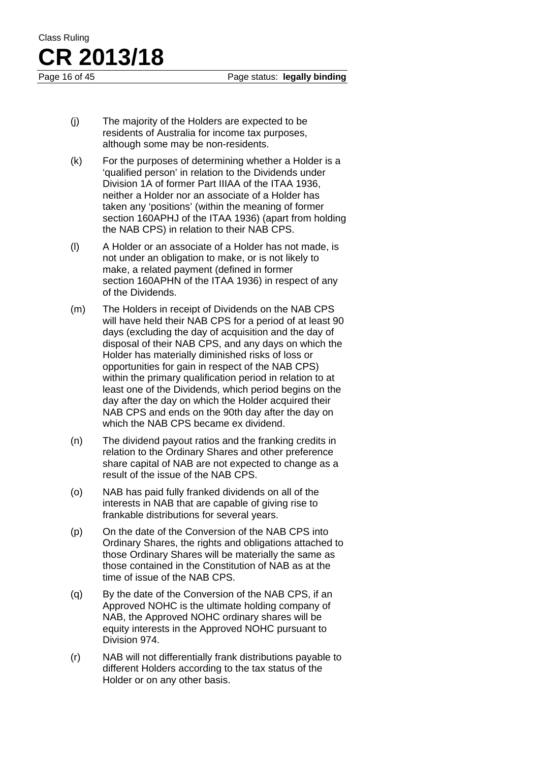- (j) The majority of the Holders are expected to be residents of Australia for income tax purposes, although some may be non-residents.
- (k) For the purposes of determining whether a Holder is a 'qualified person' in relation to the Dividends under Division 1A of former Part IIIAA of the ITAA 1936, neither a Holder nor an associate of a Holder has taken any 'positions' (within the meaning of former section 160APHJ of the ITAA 1936) (apart from holding the NAB CPS) in relation to their NAB CPS.
- (l) A Holder or an associate of a Holder has not made, is not under an obligation to make, or is not likely to make, a related payment (defined in former section 160APHN of the ITAA 1936) in respect of any of the Dividends.
- (m) The Holders in receipt of Dividends on the NAB CPS will have held their NAB CPS for a period of at least 90 days (excluding the day of acquisition and the day of disposal of their NAB CPS, and any days on which the Holder has materially diminished risks of loss or opportunities for gain in respect of the NAB CPS) within the primary qualification period in relation to at least one of the Dividends, which period begins on the day after the day on which the Holder acquired their NAB CPS and ends on the 90th day after the day on which the NAB CPS became ex dividend.
- (n) The dividend payout ratios and the franking credits in relation to the Ordinary Shares and other preference share capital of NAB are not expected to change as a result of the issue of the NAB CPS.
- (o) NAB has paid fully franked dividends on all of the interests in NAB that are capable of giving rise to frankable distributions for several years.
- (p) On the date of the Conversion of the NAB CPS into Ordinary Shares, the rights and obligations attached to those Ordinary Shares will be materially the same as those contained in the Constitution of NAB as at the time of issue of the NAB CPS.
- (q) By the date of the Conversion of the NAB CPS, if an Approved NOHC is the ultimate holding company of NAB, the Approved NOHC ordinary shares will be equity interests in the Approved NOHC pursuant to Division 974.
- (r) NAB will not differentially frank distributions payable to different Holders according to the tax status of the Holder or on any other basis.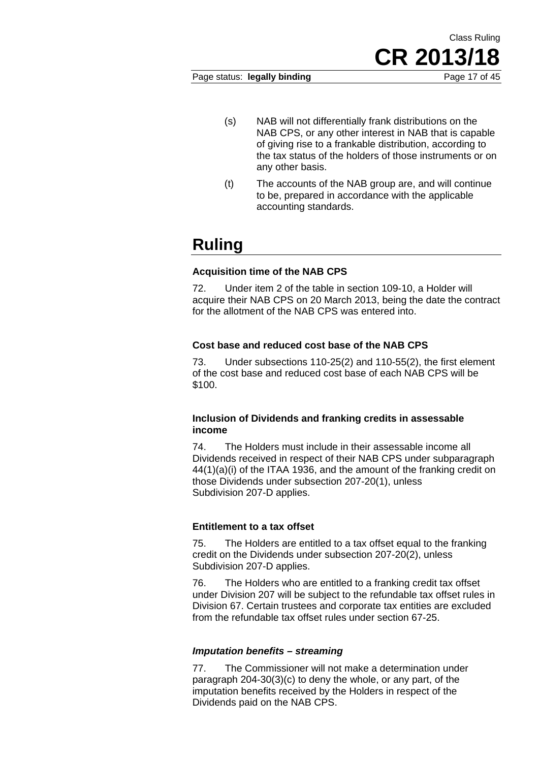Page status: **legally binding** Page 17 of 45

- (s) NAB will not differentially frank distributions on the NAB CPS, or any other interest in NAB that is capable of giving rise to a frankable distribution, according to the tax status of the holders of those instruments or on any other basis.
- (t) The accounts of the NAB group are, and will continue to be, prepared in accordance with the applicable accounting standards.

### **Ruling**

### **Acquisition time of the NAB CPS**

72. Under item 2 of the table in section 109-10, a Holder will acquire their NAB CPS on 20 March 2013, being the date the contract for the allotment of the NAB CPS was entered into.

### **Cost base and reduced cost base of the NAB CPS**

73. Under subsections 110-25(2) and 110-55(2), the first element of the cost base and reduced cost base of each NAB CPS will be \$100.

### **Inclusion of Dividends and franking credits in assessable income**

74. The Holders must include in their assessable income all Dividends received in respect of their NAB CPS under subparagraph 44(1)(a)(i) of the ITAA 1936, and the amount of the franking credit on those Dividends under subsection 207-20(1), unless Subdivision 207-D applies.

### **Entitlement to a tax offset**

75. The Holders are entitled to a tax offset equal to the franking credit on the Dividends under subsection 207-20(2), unless Subdivision 207-D applies.

76. The Holders who are entitled to a franking credit tax offset under Division 207 will be subject to the refundable tax offset rules in Division 67. Certain trustees and corporate tax entities are excluded from the refundable tax offset rules under section 67-25.

### *Imputation benefits – streaming*

77. The Commissioner will not make a determination under paragraph 204-30(3)(c) to deny the whole, or any part, of the imputation benefits received by the Holders in respect of the Dividends paid on the NAB CPS.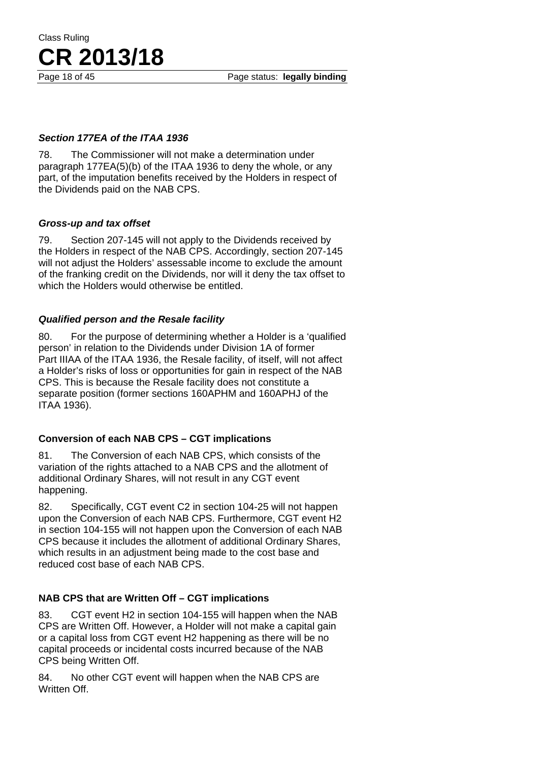Page 18 of 45 Page status: **legally binding** 

### *Section 177EA of the ITAA 1936*

**CR 2013/18**

78. The Commissioner will not make a determination under paragraph 177EA(5)(b) of the ITAA 1936 to deny the whole, or any part, of the imputation benefits received by the Holders in respect of the Dividends paid on the NAB CPS.

### *Gross-up and tax offset*

Class Ruling

79. Section 207-145 will not apply to the Dividends received by the Holders in respect of the NAB CPS. Accordingly, section 207-145 will not adjust the Holders' assessable income to exclude the amount of the franking credit on the Dividends, nor will it deny the tax offset to which the Holders would otherwise be entitled.

### *Qualified person and the Resale facility*

80. For the purpose of determining whether a Holder is a 'qualified person' in relation to the Dividends under Division 1A of former Part IIIAA of the ITAA 1936, the Resale facility, of itself, will not affect a Holder's risks of loss or opportunities for gain in respect of the NAB CPS. This is because the Resale facility does not constitute a separate position (former sections 160APHM and 160APHJ of the ITAA 1936).

### **Conversion of each NAB CPS – CGT implications**

81. The Conversion of each NAB CPS, which consists of the variation of the rights attached to a NAB CPS and the allotment of additional Ordinary Shares, will not result in any CGT event happening.

82. Specifically, CGT event C2 in section 104-25 will not happen upon the Conversion of each NAB CPS. Furthermore, CGT event H2 in section 104-155 will not happen upon the Conversion of each NAB CPS because it includes the allotment of additional Ordinary Shares, which results in an adjustment being made to the cost base and reduced cost base of each NAB CPS.

### **NAB CPS that are Written Off – CGT implications**

83. CGT event H2 in section 104-155 will happen when the NAB CPS are Written Off. However, a Holder will not make a capital gain or a capital loss from CGT event H2 happening as there will be no capital proceeds or incidental costs incurred because of the NAB CPS being Written Off.

84. No other CGT event will happen when the NAB CPS are Written Off.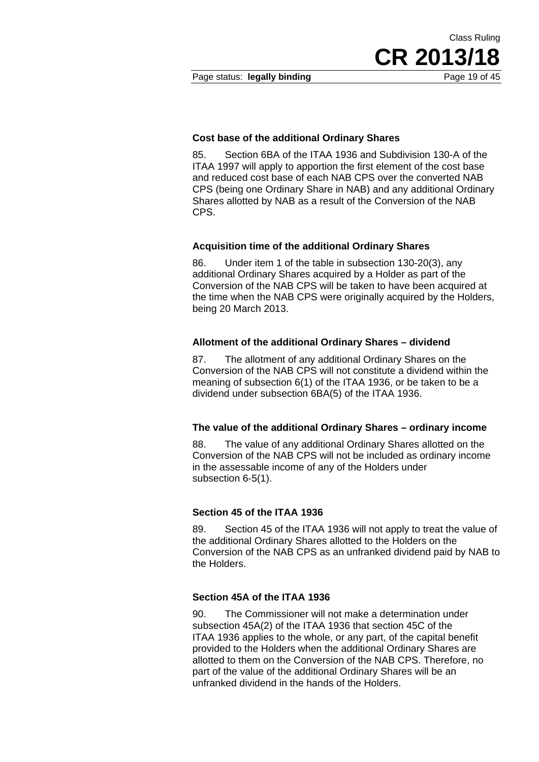Page status: **legally binding** Page 19 of 45

Class Ruling **CR 2013/18** 

#### **Cost base of the additional Ordinary Shares**

85. Section 6BA of the ITAA 1936 and Subdivision 130-A of the ITAA 1997 will apply to apportion the first element of the cost base and reduced cost base of each NAB CPS over the converted NAB CPS (being one Ordinary Share in NAB) and any additional Ordinary Shares allotted by NAB as a result of the Conversion of the NAB CPS.

#### **Acquisition time of the additional Ordinary Shares**

86. Under item 1 of the table in subsection 130-20(3), any additional Ordinary Shares acquired by a Holder as part of the Conversion of the NAB CPS will be taken to have been acquired at the time when the NAB CPS were originally acquired by the Holders, being 20 March 2013.

#### **Allotment of the additional Ordinary Shares – dividend**

87. The allotment of any additional Ordinary Shares on the Conversion of the NAB CPS will not constitute a dividend within the meaning of subsection 6(1) of the ITAA 1936, or be taken to be a dividend under subsection 6BA(5) of the ITAA 1936.

#### **The value of the additional Ordinary Shares – ordinary income**

88. The value of any additional Ordinary Shares allotted on the Conversion of the NAB CPS will not be included as ordinary income in the assessable income of any of the Holders under subsection 6-5(1).

### **Section 45 of the ITAA 1936**

89. Section 45 of the ITAA 1936 will not apply to treat the value of the additional Ordinary Shares allotted to the Holders on the Conversion of the NAB CPS as an unfranked dividend paid by NAB to the Holders.

### **Section 45A of the ITAA 1936**

90. The Commissioner will not make a determination under subsection 45A(2) of the ITAA 1936 that section 45C of the ITAA 1936 applies to the whole, or any part, of the capital benefit provided to the Holders when the additional Ordinary Shares are allotted to them on the Conversion of the NAB CPS. Therefore, no part of the value of the additional Ordinary Shares will be an unfranked dividend in the hands of the Holders.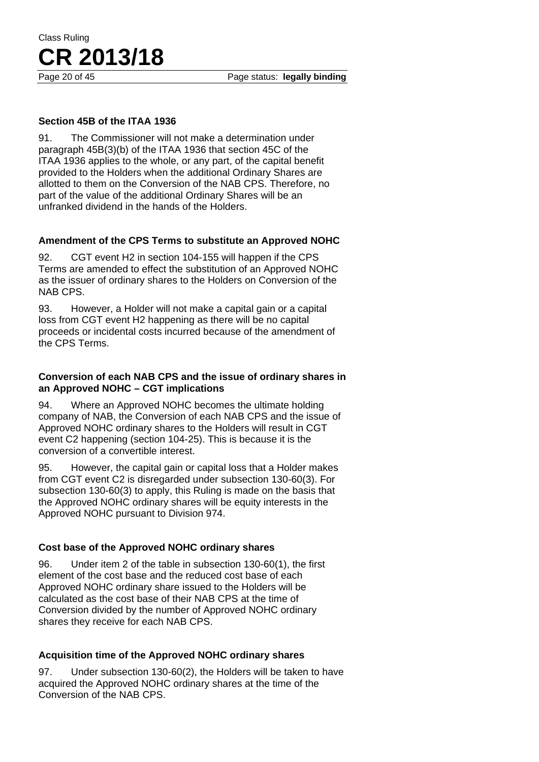Page 20 of 45 Page status: **legally binding** 

### **Section 45B of the ITAA 1936**

91. The Commissioner will not make a determination under paragraph 45B(3)(b) of the ITAA 1936 that section 45C of the ITAA 1936 applies to the whole, or any part, of the capital benefit provided to the Holders when the additional Ordinary Shares are allotted to them on the Conversion of the NAB CPS. Therefore, no part of the value of the additional Ordinary Shares will be an unfranked dividend in the hands of the Holders.

### **Amendment of the CPS Terms to substitute an Approved NOHC**

92. CGT event H2 in section 104-155 will happen if the CPS Terms are amended to effect the substitution of an Approved NOHC as the issuer of ordinary shares to the Holders on Conversion of the NAB CPS.

93. However, a Holder will not make a capital gain or a capital loss from CGT event H2 happening as there will be no capital proceeds or incidental costs incurred because of the amendment of the CPS Terms.

### **Conversion of each NAB CPS and the issue of ordinary shares in an Approved NOHC – CGT implications**

94. Where an Approved NOHC becomes the ultimate holding company of NAB, the Conversion of each NAB CPS and the issue of Approved NOHC ordinary shares to the Holders will result in CGT event C2 happening (section 104-25). This is because it is the conversion of a convertible interest.

95. However, the capital gain or capital loss that a Holder makes from CGT event C2 is disregarded under subsection 130-60(3). For subsection 130-60(3) to apply, this Ruling is made on the basis that the Approved NOHC ordinary shares will be equity interests in the Approved NOHC pursuant to Division 974.

### **Cost base of the Approved NOHC ordinary shares**

96. Under item 2 of the table in subsection 130-60(1), the first element of the cost base and the reduced cost base of each Approved NOHC ordinary share issued to the Holders will be calculated as the cost base of their NAB CPS at the time of Conversion divided by the number of Approved NOHC ordinary shares they receive for each NAB CPS.

### **Acquisition time of the Approved NOHC ordinary shares**

97. Under subsection 130-60(2), the Holders will be taken to have acquired the Approved NOHC ordinary shares at the time of the Conversion of the NAB CPS.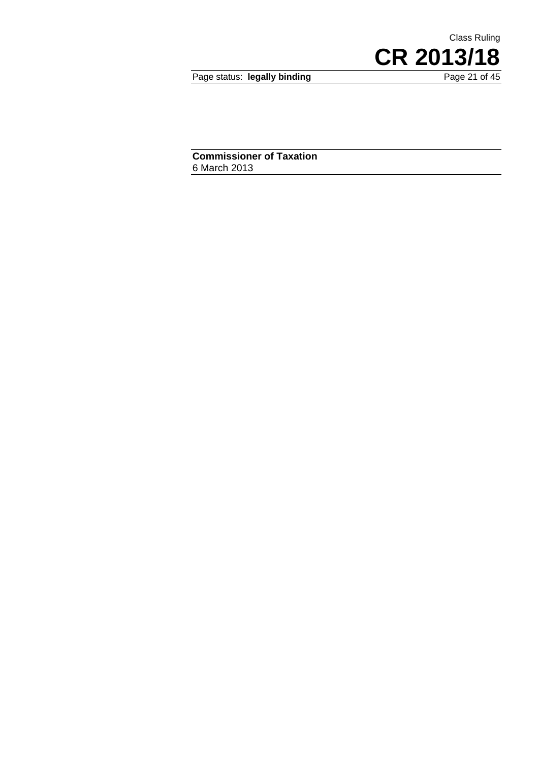Page status: legally binding

CR 2013/18

Class Ruling

**Commissioner of Taxation**  6 March 2013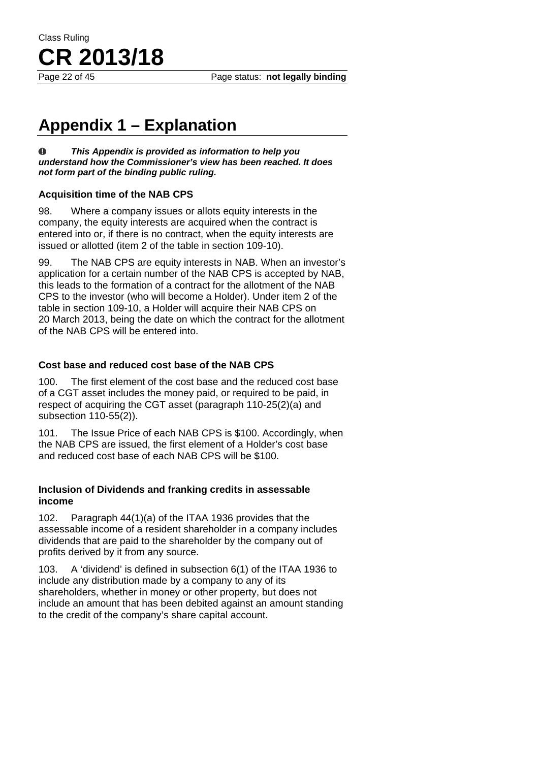Page 22 of 45 Page status: **not legally binding** 

### **Appendix 1 – Explanation**

 $\bf{0}$ *This Appendix is provided as information to help you understand how the Commissioner's view has been reached. It does not form part of the binding public ruling.* 

### **Acquisition time of the NAB CPS**

98. Where a company issues or allots equity interests in the company, the equity interests are acquired when the contract is entered into or, if there is no contract, when the equity interests are issued or allotted (item 2 of the table in section 109-10).

99. The NAB CPS are equity interests in NAB. When an investor's application for a certain number of the NAB CPS is accepted by NAB, this leads to the formation of a contract for the allotment of the NAB CPS to the investor (who will become a Holder). Under item 2 of the table in section 109-10, a Holder will acquire their NAB CPS on 20 March 2013, being the date on which the contract for the allotment of the NAB CPS will be entered into.

### **Cost base and reduced cost base of the NAB CPS**

100. The first element of the cost base and the reduced cost base of a CGT asset includes the money paid, or required to be paid, in respect of acquiring the CGT asset (paragraph 110-25(2)(a) and subsection 110-55(2)).

101. The Issue Price of each NAB CPS is \$100. Accordingly, when the NAB CPS are issued, the first element of a Holder's cost base and reduced cost base of each NAB CPS will be \$100.

### **Inclusion of Dividends and franking credits in assessable income**

102. Paragraph 44(1)(a) of the ITAA 1936 provides that the assessable income of a resident shareholder in a company includes dividends that are paid to the shareholder by the company out of profits derived by it from any source.

103. A 'dividend' is defined in subsection 6(1) of the ITAA 1936 to include any distribution made by a company to any of its shareholders, whether in money or other property, but does not include an amount that has been debited against an amount standing to the credit of the company's share capital account.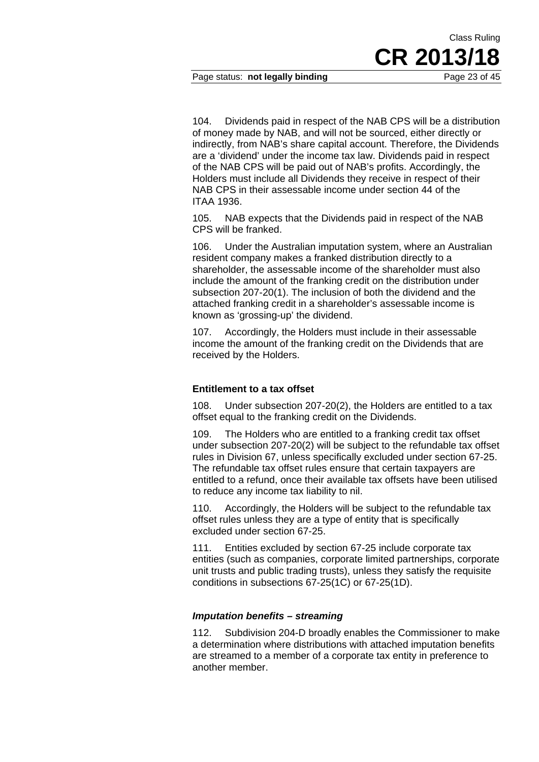### Page status: **not legally binding** Page 23 of 45

104. Dividends paid in respect of the NAB CPS will be a distribution of money made by NAB, and will not be sourced, either directly or indirectly, from NAB's share capital account. Therefore, the Dividends

are a 'dividend' under the income tax law. Dividends paid in respect of the NAB CPS will be paid out of NAB's profits. Accordingly, the Holders must include all Dividends they receive in respect of their NAB CPS in their assessable income under section 44 of the ITAA 1936.

105. NAB expects that the Dividends paid in respect of the NAB CPS will be franked.

106. Under the Australian imputation system, where an Australian resident company makes a franked distribution directly to a shareholder, the assessable income of the shareholder must also include the amount of the franking credit on the distribution under subsection 207-20(1). The inclusion of both the dividend and the attached franking credit in a shareholder's assessable income is known as 'grossing-up' the dividend.

107. Accordingly, the Holders must include in their assessable income the amount of the franking credit on the Dividends that are received by the Holders.

### **Entitlement to a tax offset**

108. Under subsection 207-20(2), the Holders are entitled to a tax offset equal to the franking credit on the Dividends.

109. The Holders who are entitled to a franking credit tax offset under subsection 207-20(2) will be subject to the refundable tax offset rules in Division 67, unless specifically excluded under section 67-25. The refundable tax offset rules ensure that certain taxpayers are entitled to a refund, once their available tax offsets have been utilised to reduce any income tax liability to nil.

110. Accordingly, the Holders will be subject to the refundable tax offset rules unless they are a type of entity that is specifically excluded under section 67-25.

111. Entities excluded by section 67-25 include corporate tax entities (such as companies, corporate limited partnerships, corporate unit trusts and public trading trusts), unless they satisfy the requisite conditions in subsections 67-25(1C) or 67-25(1D).

### *Imputation benefits – streaming*

112. Subdivision 204-D broadly enables the Commissioner to make a determination where distributions with attached imputation benefits are streamed to a member of a corporate tax entity in preference to another member.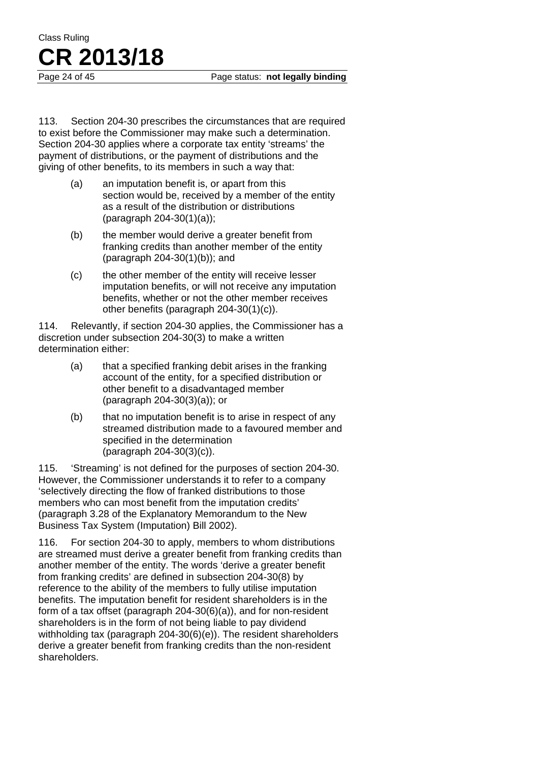113. Section 204-30 prescribes the circumstances that are required to exist before the Commissioner may make such a determination. Section 204-30 applies where a corporate tax entity 'streams' the payment of distributions, or the payment of distributions and the giving of other benefits, to its members in such a way that:

- (a) an imputation benefit is, or apart from this section would be, received by a member of the entity as a result of the distribution or distributions (paragraph 204-30(1)(a));
- (b) the member would derive a greater benefit from franking credits than another member of the entity (paragraph 204-30(1)(b)); and
- (c) the other member of the entity will receive lesser imputation benefits, or will not receive any imputation benefits, whether or not the other member receives other benefits (paragraph 204-30(1)(c)).

114. Relevantly, if section 204-30 applies, the Commissioner has a discretion under subsection 204-30(3) to make a written determination either:

- (a) that a specified franking debit arises in the franking account of the entity, for a specified distribution or other benefit to a disadvantaged member (paragraph 204-30(3)(a)); or
- (b) that no imputation benefit is to arise in respect of any streamed distribution made to a favoured member and specified in the determination (paragraph 204-30(3)(c)).

115. 'Streaming' is not defined for the purposes of section 204-30. However, the Commissioner understands it to refer to a company 'selectively directing the flow of franked distributions to those members who can most benefit from the imputation credits' (paragraph 3.28 of the Explanatory Memorandum to the New Business Tax System (Imputation) Bill 2002).

116. For section 204-30 to apply, members to whom distributions are streamed must derive a greater benefit from franking credits than another member of the entity. The words 'derive a greater benefit from franking credits' are defined in subsection 204-30(8) by reference to the ability of the members to fully utilise imputation benefits. The imputation benefit for resident shareholders is in the form of a tax offset (paragraph 204-30(6)(a)), and for non-resident shareholders is in the form of not being liable to pay dividend withholding tax (paragraph 204-30(6)(e)). The resident shareholders derive a greater benefit from franking credits than the non-resident shareholders.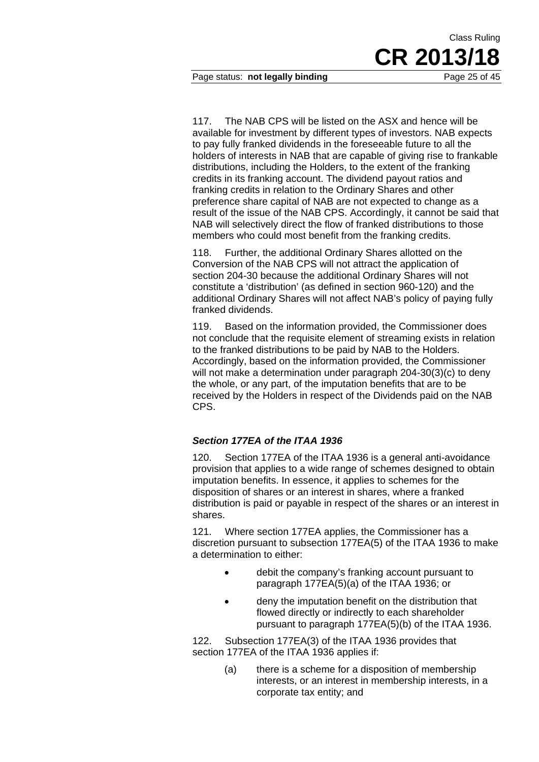Page status: **not legally binding** Page 25 of 45

117. The NAB CPS will be listed on the ASX and hence will be available for investment by different types of investors. NAB expects to pay fully franked dividends in the foreseeable future to all the holders of interests in NAB that are capable of giving rise to frankable distributions, including the Holders, to the extent of the franking credits in its franking account. The dividend payout ratios and franking credits in relation to the Ordinary Shares and other preference share capital of NAB are not expected to change as a result of the issue of the NAB CPS. Accordingly, it cannot be said that NAB will selectively direct the flow of franked distributions to those members who could most benefit from the franking credits.

118. Further, the additional Ordinary Shares allotted on the Conversion of the NAB CPS will not attract the application of section 204-30 because the additional Ordinary Shares will not constitute a 'distribution' (as defined in section 960-120) and the additional Ordinary Shares will not affect NAB's policy of paying fully franked dividends.

119. Based on the information provided, the Commissioner does not conclude that the requisite element of streaming exists in relation to the franked distributions to be paid by NAB to the Holders. Accordingly, based on the information provided, the Commissioner will not make a determination under paragraph 204-30(3)(c) to deny the whole, or any part, of the imputation benefits that are to be received by the Holders in respect of the Dividends paid on the NAB CPS.

### *Section 177EA of the ITAA 1936*

120. Section 177EA of the ITAA 1936 is a general anti-avoidance provision that applies to a wide range of schemes designed to obtain imputation benefits. In essence, it applies to schemes for the disposition of shares or an interest in shares, where a franked distribution is paid or payable in respect of the shares or an interest in shares.

121. Where section 177EA applies, the Commissioner has a discretion pursuant to subsection 177EA(5) of the ITAA 1936 to make a determination to either:

- debit the company's franking account pursuant to paragraph 177EA(5)(a) of the ITAA 1936; or
- deny the imputation benefit on the distribution that flowed directly or indirectly to each shareholder pursuant to paragraph 177EA(5)(b) of the ITAA 1936.

122. Subsection 177EA(3) of the ITAA 1936 provides that section 177EA of the ITAA 1936 applies if:

> (a) there is a scheme for a disposition of membership interests, or an interest in membership interests, in a corporate tax entity; and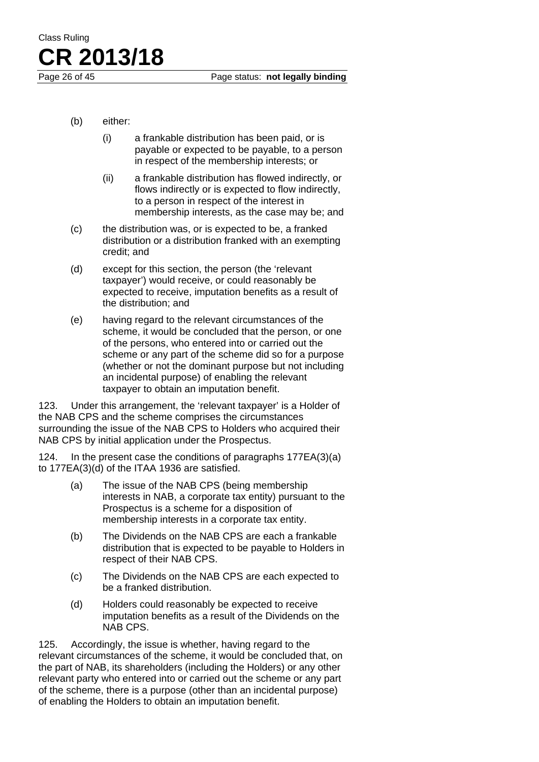- (b) either:
	- (i) a frankable distribution has been paid, or is payable or expected to be payable, to a person in respect of the membership interests; or
	- (ii) a frankable distribution has flowed indirectly, or flows indirectly or is expected to flow indirectly, to a person in respect of the interest in membership interests, as the case may be; and
- (c) the distribution was, or is expected to be, a franked distribution or a distribution franked with an exempting credit; and
- (d) except for this section, the person (the 'relevant taxpayer') would receive, or could reasonably be expected to receive, imputation benefits as a result of the distribution; and
- (e) having regard to the relevant circumstances of the scheme, it would be concluded that the person, or one of the persons, who entered into or carried out the scheme or any part of the scheme did so for a purpose (whether or not the dominant purpose but not including an incidental purpose) of enabling the relevant taxpayer to obtain an imputation benefit.

123. Under this arrangement, the 'relevant taxpayer' is a Holder of the NAB CPS and the scheme comprises the circumstances surrounding the issue of the NAB CPS to Holders who acquired their NAB CPS by initial application under the Prospectus.

124. In the present case the conditions of paragraphs 177EA(3)(a) to 177EA(3)(d) of the ITAA 1936 are satisfied.

- (a) The issue of the NAB CPS (being membership interests in NAB, a corporate tax entity) pursuant to the Prospectus is a scheme for a disposition of membership interests in a corporate tax entity.
- (b) The Dividends on the NAB CPS are each a frankable distribution that is expected to be payable to Holders in respect of their NAB CPS.
- (c) The Dividends on the NAB CPS are each expected to be a franked distribution.
- (d) Holders could reasonably be expected to receive imputation benefits as a result of the Dividends on the NAB CPS.

125. Accordingly, the issue is whether, having regard to the relevant circumstances of the scheme, it would be concluded that, on the part of NAB, its shareholders (including the Holders) or any other relevant party who entered into or carried out the scheme or any part of the scheme, there is a purpose (other than an incidental purpose) of enabling the Holders to obtain an imputation benefit.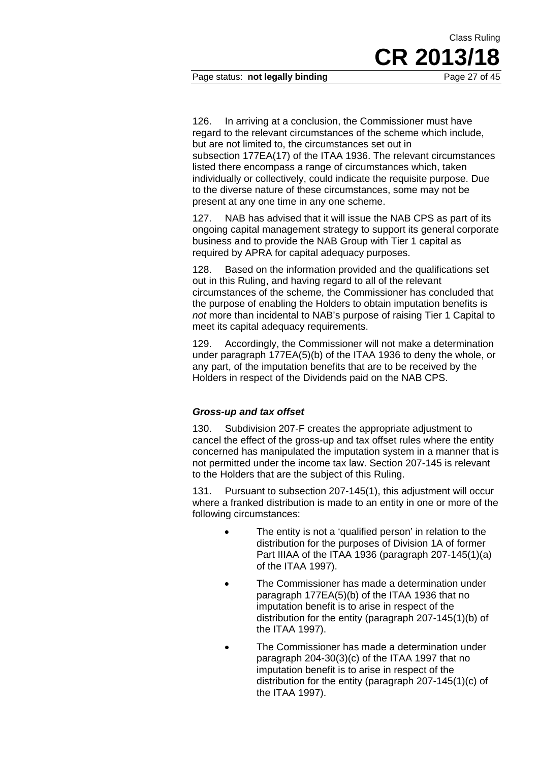### Page status: **not legally binding** Page 27 of 45

126. In arriving at a conclusion, the Commissioner must have regard to the relevant circumstances of the scheme which include, but are not limited to, the circumstances set out in subsection 177EA(17) of the ITAA 1936. The relevant circumstances listed there encompass a range of circumstances which, taken individually or collectively, could indicate the requisite purpose. Due to the diverse nature of these circumstances, some may not be present at any one time in any one scheme.

127. NAB has advised that it will issue the NAB CPS as part of its ongoing capital management strategy to support its general corporate business and to provide the NAB Group with Tier 1 capital as required by APRA for capital adequacy purposes.

128. Based on the information provided and the qualifications set out in this Ruling, and having regard to all of the relevant circumstances of the scheme, the Commissioner has concluded that the purpose of enabling the Holders to obtain imputation benefits is *not* more than incidental to NAB's purpose of raising Tier 1 Capital to meet its capital adequacy requirements.

129. Accordingly, the Commissioner will not make a determination under paragraph 177EA(5)(b) of the ITAA 1936 to deny the whole, or any part, of the imputation benefits that are to be received by the Holders in respect of the Dividends paid on the NAB CPS.

### *Gross-up and tax offset*

130. Subdivision 207-F creates the appropriate adjustment to cancel the effect of the gross-up and tax offset rules where the entity concerned has manipulated the imputation system in a manner that is not permitted under the income tax law. Section 207-145 is relevant to the Holders that are the subject of this Ruling.

131. Pursuant to subsection 207-145(1), this adjustment will occur where a franked distribution is made to an entity in one or more of the following circumstances:

- The entity is not a 'qualified person' in relation to the distribution for the purposes of Division 1A of former Part IIIAA of the ITAA 1936 (paragraph 207-145(1)(a) of the ITAA 1997).
- The Commissioner has made a determination under paragraph 177EA(5)(b) of the ITAA 1936 that no imputation benefit is to arise in respect of the distribution for the entity (paragraph 207-145(1)(b) of the ITAA 1997).
- The Commissioner has made a determination under paragraph 204-30(3)(c) of the ITAA 1997 that no imputation benefit is to arise in respect of the distribution for the entity (paragraph 207-145(1)(c) of the ITAA 1997).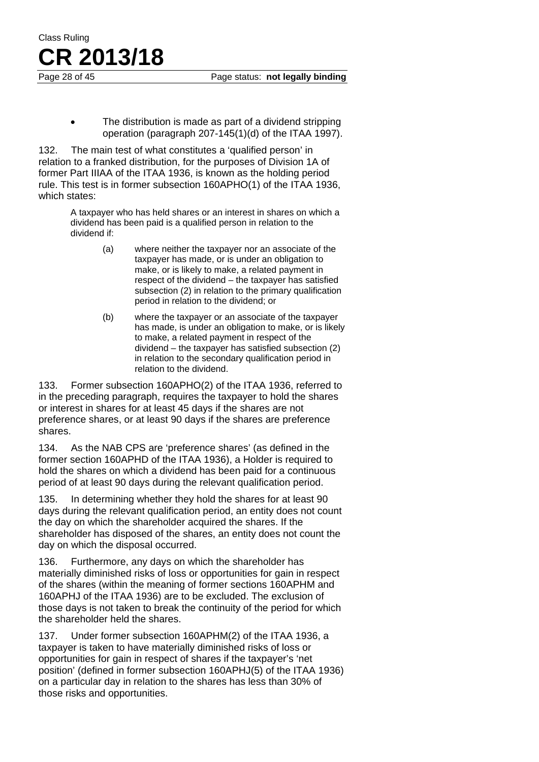The distribution is made as part of a dividend stripping operation (paragraph 207-145(1)(d) of the ITAA 1997).

132. The main test of what constitutes a 'qualified person' in relation to a franked distribution, for the purposes of Division 1A of former Part IIIAA of the ITAA 1936, is known as the holding period rule. This test is in former subsection 160APHO(1) of the ITAA 1936, which states:

> A taxpayer who has held shares or an interest in shares on which a dividend has been paid is a qualified person in relation to the dividend if:

- (a) where neither the taxpayer nor an associate of the taxpayer has made, or is under an obligation to make, or is likely to make, a related payment in respect of the dividend – the taxpayer has satisfied subsection (2) in relation to the primary qualification period in relation to the dividend; or
- (b) where the taxpayer or an associate of the taxpayer has made, is under an obligation to make, or is likely to make, a related payment in respect of the dividend – the taxpayer has satisfied subsection (2) in relation to the secondary qualification period in relation to the dividend.

133. Former subsection 160APHO(2) of the ITAA 1936, referred to in the preceding paragraph, requires the taxpayer to hold the shares or interest in shares for at least 45 days if the shares are not preference shares, or at least 90 days if the shares are preference shares.

134. As the NAB CPS are 'preference shares' (as defined in the former section 160APHD of the ITAA 1936), a Holder is required to hold the shares on which a dividend has been paid for a continuous period of at least 90 days during the relevant qualification period.

135. In determining whether they hold the shares for at least 90 days during the relevant qualification period, an entity does not count the day on which the shareholder acquired the shares. If the shareholder has disposed of the shares, an entity does not count the day on which the disposal occurred.

136. Furthermore, any days on which the shareholder has materially diminished risks of loss or opportunities for gain in respect of the shares (within the meaning of former sections 160APHM and 160APHJ of the ITAA 1936) are to be excluded. The exclusion of those days is not taken to break the continuity of the period for which the shareholder held the shares.

137. Under former subsection 160APHM(2) of the ITAA 1936, a taxpayer is taken to have materially diminished risks of loss or opportunities for gain in respect of shares if the taxpayer's 'net position' (defined in former subsection 160APHJ(5) of the ITAA 1936) on a particular day in relation to the shares has less than 30% of those risks and opportunities.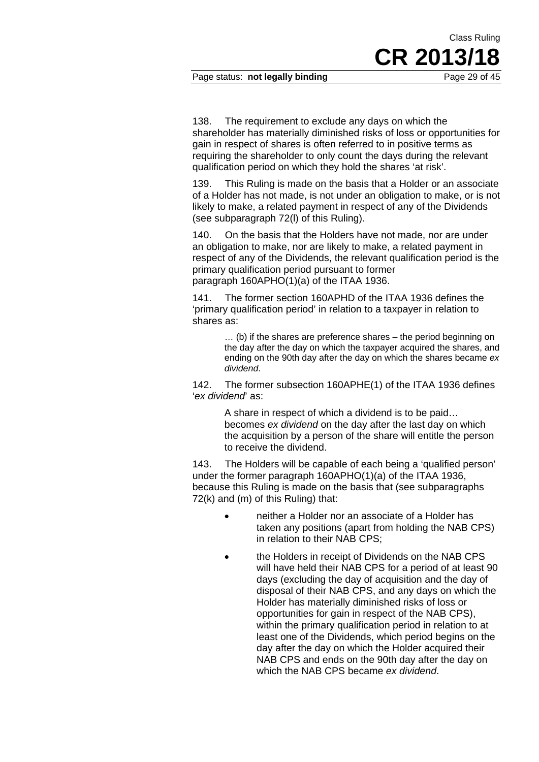Page status: **not legally binding** Page 29 of 45

CR 2013/

Class Ruling

138. The requirement to exclude any days on which the shareholder has materially diminished risks of loss or opportunities for gain in respect of shares is often referred to in positive terms as requiring the shareholder to only count the days during the relevant qualification period on which they hold the shares 'at risk'.

139. This Ruling is made on the basis that a Holder or an associate of a Holder has not made, is not under an obligation to make, or is not likely to make, a related payment in respect of any of the Dividends (see subparagraph 72(l) of this Ruling).

140. On the basis that the Holders have not made, nor are under an obligation to make, nor are likely to make, a related payment in respect of any of the Dividends, the relevant qualification period is the primary qualification period pursuant to former paragraph 160APHO(1)(a) of the ITAA 1936.

141. The former section 160APHD of the ITAA 1936 defines the 'primary qualification period' in relation to a taxpayer in relation to shares as:

> … (b) if the shares are preference shares – the period beginning on the day after the day on which the taxpayer acquired the shares, and ending on the 90th day after the day on which the shares became *ex dividend*.

142. The former subsection 160APHE(1) of the ITAA 1936 defines '*ex dividend*' as:

> A share in respect of which a dividend is to be paid… becomes *ex dividend* on the day after the last day on which the acquisition by a person of the share will entitle the person to receive the dividend.

143. The Holders will be capable of each being a 'qualified person' under the former paragraph 160APHO(1)(a) of the ITAA 1936, because this Ruling is made on the basis that (see subparagraphs 72(k) and (m) of this Ruling) that:

- neither a Holder nor an associate of a Holder has taken any positions (apart from holding the NAB CPS) in relation to their NAB CPS;
- the Holders in receipt of Dividends on the NAB CPS will have held their NAB CPS for a period of at least 90 days (excluding the day of acquisition and the day of disposal of their NAB CPS, and any days on which the Holder has materially diminished risks of loss or opportunities for gain in respect of the NAB CPS), within the primary qualification period in relation to at least one of the Dividends, which period begins on the day after the day on which the Holder acquired their NAB CPS and ends on the 90th day after the day on which the NAB CPS became *ex dividend*.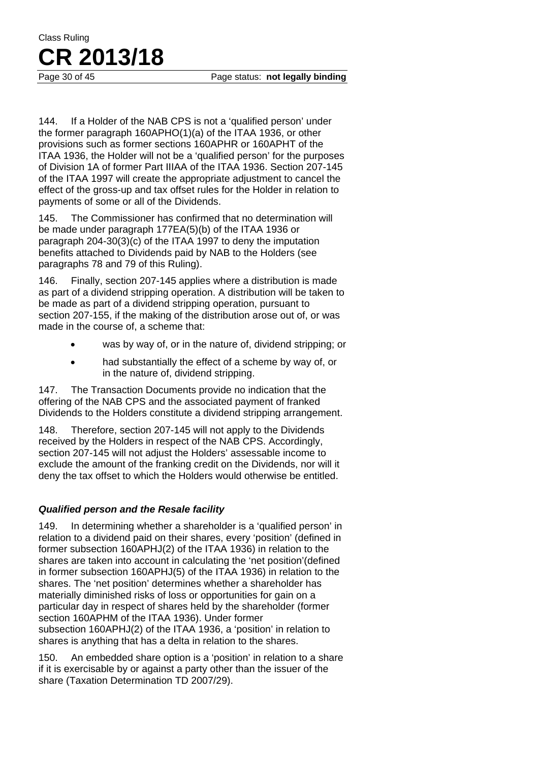144. If a Holder of the NAB CPS is not a 'qualified person' under the former paragraph 160APHO(1)(a) of the ITAA 1936, or other provisions such as former sections 160APHR or 160APHT of the ITAA 1936, the Holder will not be a 'qualified person' for the purposes of Division 1A of former Part IIIAA of the ITAA 1936. Section 207-145 of the ITAA 1997 will create the appropriate adjustment to cancel the effect of the gross-up and tax offset rules for the Holder in relation to payments of some or all of the Dividends.

145. The Commissioner has confirmed that no determination will be made under paragraph 177EA(5)(b) of the ITAA 1936 or paragraph 204-30(3)(c) of the ITAA 1997 to deny the imputation benefits attached to Dividends paid by NAB to the Holders (see paragraphs 78 and 79 of this Ruling).

146. Finally, section 207-145 applies where a distribution is made as part of a dividend stripping operation. A distribution will be taken to be made as part of a dividend stripping operation, pursuant to section 207-155, if the making of the distribution arose out of, or was made in the course of, a scheme that:

- was by way of, or in the nature of, dividend stripping; or
- had substantially the effect of a scheme by way of, or in the nature of, dividend stripping.

147. The Transaction Documents provide no indication that the offering of the NAB CPS and the associated payment of franked Dividends to the Holders constitute a dividend stripping arrangement.

148. Therefore, section 207-145 will not apply to the Dividends received by the Holders in respect of the NAB CPS. Accordingly, section 207-145 will not adjust the Holders' assessable income to exclude the amount of the franking credit on the Dividends, nor will it deny the tax offset to which the Holders would otherwise be entitled.

### *Qualified person and the Resale facility*

149. In determining whether a shareholder is a 'qualified person' in relation to a dividend paid on their shares, every 'position' (defined in former subsection 160APHJ(2) of the ITAA 1936) in relation to the shares are taken into account in calculating the 'net position'(defined in former subsection 160APHJ(5) of the ITAA 1936) in relation to the shares. The 'net position' determines whether a shareholder has materially diminished risks of loss or opportunities for gain on a particular day in respect of shares held by the shareholder (former section 160APHM of the ITAA 1936). Under former subsection 160APHJ(2) of the ITAA 1936, a 'position' in relation to shares is anything that has a delta in relation to the shares.

150. An embedded share option is a 'position' in relation to a share if it is exercisable by or against a party other than the issuer of the share (Taxation Determination TD 2007/29).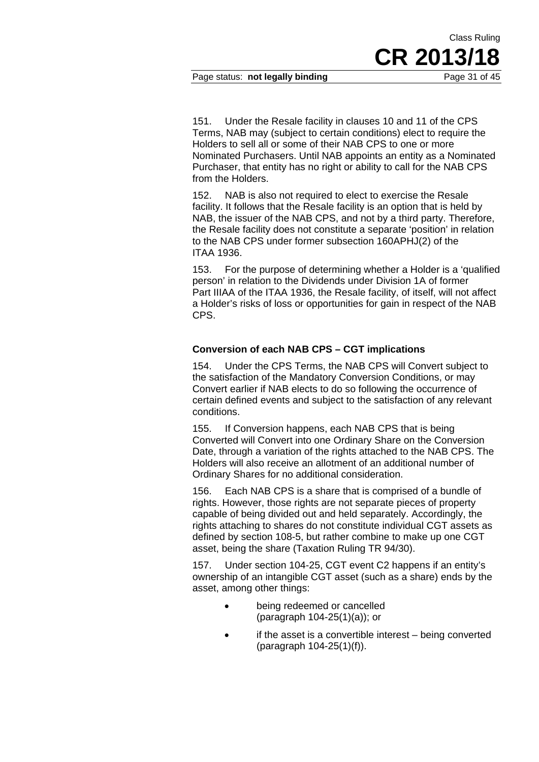151. Under the Resale facility in clauses 10 and 11 of the CPS Terms, NAB may (subject to certain conditions) elect to require the Holders to sell all or some of their NAB CPS to one or more Nominated Purchasers. Until NAB appoints an entity as a Nominated Purchaser, that entity has no right or ability to call for the NAB CPS from the Holders.

152. NAB is also not required to elect to exercise the Resale facility. It follows that the Resale facility is an option that is held by NAB, the issuer of the NAB CPS, and not by a third party. Therefore, the Resale facility does not constitute a separate 'position' in relation to the NAB CPS under former subsection 160APHJ(2) of the ITAA 1936.

153. For the purpose of determining whether a Holder is a 'qualified person' in relation to the Dividends under Division 1A of former Part IIIAA of the ITAA 1936, the Resale facility, of itself, will not affect a Holder's risks of loss or opportunities for gain in respect of the NAB CPS.

### **Conversion of each NAB CPS – CGT implications**

154. Under the CPS Terms, the NAB CPS will Convert subject to the satisfaction of the Mandatory Conversion Conditions, or may Convert earlier if NAB elects to do so following the occurrence of certain defined events and subject to the satisfaction of any relevant conditions.

155. If Conversion happens, each NAB CPS that is being Converted will Convert into one Ordinary Share on the Conversion Date, through a variation of the rights attached to the NAB CPS. The Holders will also receive an allotment of an additional number of Ordinary Shares for no additional consideration.

156. Each NAB CPS is a share that is comprised of a bundle of rights. However, those rights are not separate pieces of property capable of being divided out and held separately. Accordingly, the rights attaching to shares do not constitute individual CGT assets as defined by section 108-5, but rather combine to make up one CGT asset, being the share (Taxation Ruling TR 94/30).

157. Under section 104-25, CGT event C2 happens if an entity's ownership of an intangible CGT asset (such as a share) ends by the asset, among other things:

- being redeemed or cancelled (paragraph 104-25(1)(a)); or
- if the asset is a convertible interest being converted (paragraph 104-25(1)(f)).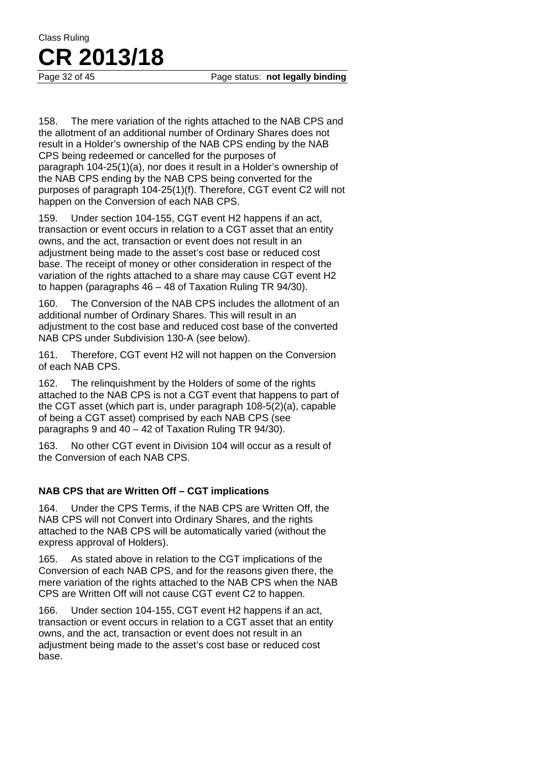158. The mere variation of the rights attached to the NAB CPS and the allotment of an additional number of Ordinary Shares does not result in a Holder's ownership of the NAB CPS ending by the NAB CPS being redeemed or cancelled for the purposes of paragraph 104-25(1)(a), nor does it result in a Holder's ownership of the NAB CPS ending by the NAB CPS being converted for the purposes of paragraph 104-25(1)(f). Therefore, CGT event C2 will not happen on the Conversion of each NAB CPS.

159. Under section 104-155, CGT event H2 happens if an act, transaction or event occurs in relation to a CGT asset that an entity owns, and the act, transaction or event does not result in an adjustment being made to the asset's cost base or reduced cost base. The receipt of money or other consideration in respect of the variation of the rights attached to a share may cause CGT event H2 to happen (paragraphs 46 – 48 of Taxation Ruling TR 94/30).

160. The Conversion of the NAB CPS includes the allotment of an additional number of Ordinary Shares. This will result in an adjustment to the cost base and reduced cost base of the converted NAB CPS under Subdivision 130-A (see below).

161. Therefore, CGT event H2 will not happen on the Conversion of each NAB CPS.

162. The relinquishment by the Holders of some of the rights attached to the NAB CPS is not a CGT event that happens to part of the CGT asset (which part is, under paragraph 108-5(2)(a), capable of being a CGT asset) comprised by each NAB CPS (see paragraphs 9 and 40 – 42 of Taxation Ruling TR 94/30).

163. No other CGT event in Division 104 will occur as a result of the Conversion of each NAB CPS.

### **NAB CPS that are Written Off – CGT implications**

164. Under the CPS Terms, if the NAB CPS are Written Off, the NAB CPS will not Convert into Ordinary Shares, and the rights attached to the NAB CPS will be automatically varied (without the express approval of Holders).

165. As stated above in relation to the CGT implications of the Conversion of each NAB CPS, and for the reasons given there, the mere variation of the rights attached to the NAB CPS when the NAB CPS are Written Off will not cause CGT event C2 to happen.

166. Under section 104-155, CGT event H2 happens if an act, transaction or event occurs in relation to a CGT asset that an entity owns, and the act, transaction or event does not result in an adjustment being made to the asset's cost base or reduced cost base.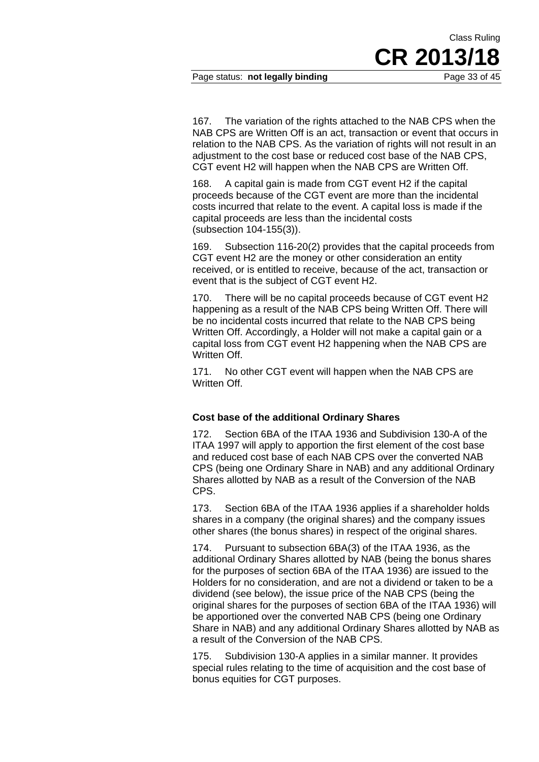Page status: **not legally binding** Page 33 of 45

167. The variation of the rights attached to the NAB CPS when the NAB CPS are Written Off is an act, transaction or event that occurs in relation to the NAB CPS. As the variation of rights will not result in an adjustment to the cost base or reduced cost base of the NAB CPS, CGT event H2 will happen when the NAB CPS are Written Off.

Class Ruling

**CR 2013/18** 

168. A capital gain is made from CGT event H2 if the capital proceeds because of the CGT event are more than the incidental costs incurred that relate to the event. A capital loss is made if the capital proceeds are less than the incidental costs (subsection 104-155(3)).

169. Subsection 116-20(2) provides that the capital proceeds from CGT event H2 are the money or other consideration an entity received, or is entitled to receive, because of the act, transaction or event that is the subject of CGT event H2.

170. There will be no capital proceeds because of CGT event H2 happening as a result of the NAB CPS being Written Off. There will be no incidental costs incurred that relate to the NAB CPS being Written Off. Accordingly, a Holder will not make a capital gain or a capital loss from CGT event H2 happening when the NAB CPS are Written Off.

171. No other CGT event will happen when the NAB CPS are Written Off.

### **Cost base of the additional Ordinary Shares**

172. Section 6BA of the ITAA 1936 and Subdivision 130-A of the ITAA 1997 will apply to apportion the first element of the cost base and reduced cost base of each NAB CPS over the converted NAB CPS (being one Ordinary Share in NAB) and any additional Ordinary Shares allotted by NAB as a result of the Conversion of the NAB CPS.

173. Section 6BA of the ITAA 1936 applies if a shareholder holds shares in a company (the original shares) and the company issues other shares (the bonus shares) in respect of the original shares.

174. Pursuant to subsection 6BA(3) of the ITAA 1936, as the additional Ordinary Shares allotted by NAB (being the bonus shares for the purposes of section 6BA of the ITAA 1936) are issued to the Holders for no consideration, and are not a dividend or taken to be a dividend (see below), the issue price of the NAB CPS (being the original shares for the purposes of section 6BA of the ITAA 1936) will be apportioned over the converted NAB CPS (being one Ordinary Share in NAB) and any additional Ordinary Shares allotted by NAB as a result of the Conversion of the NAB CPS.

175. Subdivision 130-A applies in a similar manner. It provides special rules relating to the time of acquisition and the cost base of bonus equities for CGT purposes.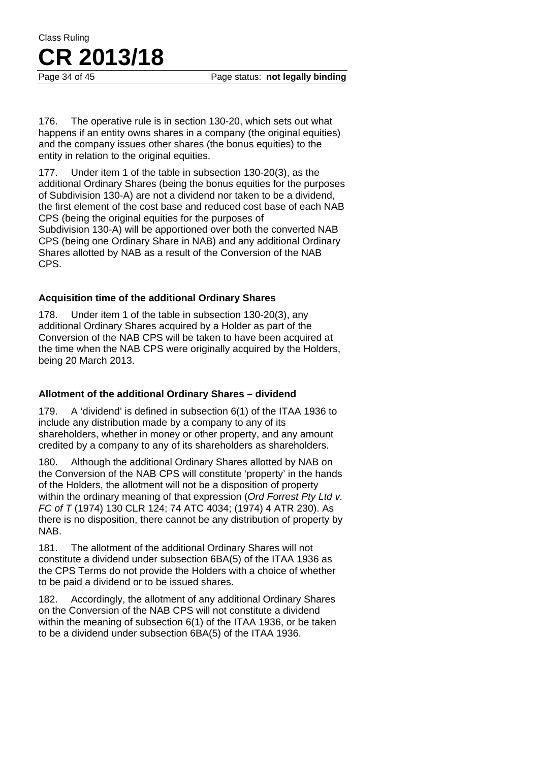Page 34 of 45 Page status: **not legally binding** 

176. The operative rule is in section 130-20, which sets out what happens if an entity owns shares in a company (the original equities) and the company issues other shares (the bonus equities) to the entity in relation to the original equities.

177. Under item 1 of the table in subsection 130-20(3), as the additional Ordinary Shares (being the bonus equities for the purposes of Subdivision 130-A) are not a dividend nor taken to be a dividend, the first element of the cost base and reduced cost base of each NAB CPS (being the original equities for the purposes of Subdivision 130-A) will be apportioned over both the converted NAB CPS (being one Ordinary Share in NAB) and any additional Ordinary Shares allotted by NAB as a result of the Conversion of the NAB CPS.

### **Acquisition time of the additional Ordinary Shares**

178. Under item 1 of the table in subsection 130-20(3), any additional Ordinary Shares acquired by a Holder as part of the Conversion of the NAB CPS will be taken to have been acquired at the time when the NAB CPS were originally acquired by the Holders, being 20 March 2013.

### **Allotment of the additional Ordinary Shares – dividend**

179. A 'dividend' is defined in subsection 6(1) of the ITAA 1936 to include any distribution made by a company to any of its shareholders, whether in money or other property, and any amount credited by a company to any of its shareholders as shareholders.

180. Although the additional Ordinary Shares allotted by NAB on the Conversion of the NAB CPS will constitute 'property' in the hands of the Holders, the allotment will not be a disposition of property within the ordinary meaning of that expression (*Ord Forrest Pty Ltd v. FC of T* (1974) 130 CLR 124; 74 ATC 4034; (1974) 4 ATR 230). As there is no disposition, there cannot be any distribution of property by NAB.

181. The allotment of the additional Ordinary Shares will not constitute a dividend under subsection 6BA(5) of the ITAA 1936 as the CPS Terms do not provide the Holders with a choice of whether to be paid a dividend or to be issued shares.

182. Accordingly, the allotment of any additional Ordinary Shares on the Conversion of the NAB CPS will not constitute a dividend within the meaning of subsection 6(1) of the ITAA 1936, or be taken to be a dividend under subsection 6BA(5) of the ITAA 1936.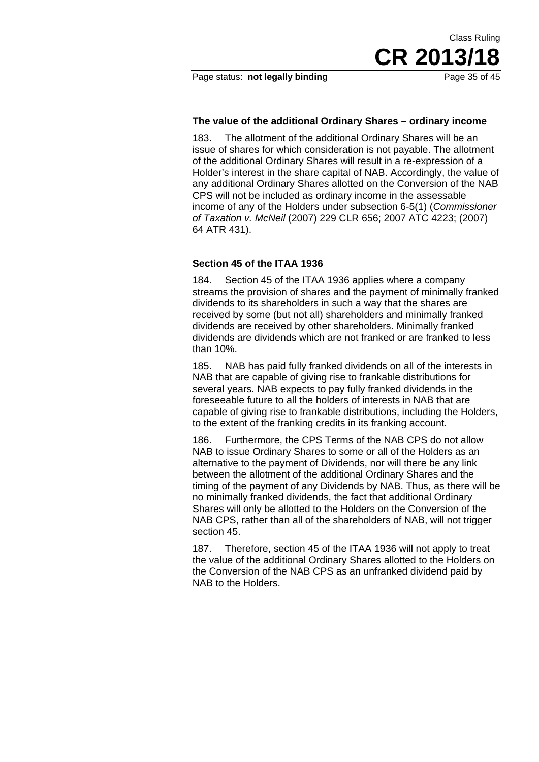Class Ruling

### **The value of the additional Ordinary Shares – ordinary income**

183. The allotment of the additional Ordinary Shares will be an issue of shares for which consideration is not payable. The allotment of the additional Ordinary Shares will result in a re-expression of a Holder's interest in the share capital of NAB. Accordingly, the value of any additional Ordinary Shares allotted on the Conversion of the NAB CPS will not be included as ordinary income in the assessable income of any of the Holders under subsection 6-5(1) (*Commissioner of Taxation v. McNeil* (2007) 229 CLR 656; 2007 ATC 4223; (2007) 64 ATR 431).

#### **Section 45 of the ITAA 1936**

184. Section 45 of the ITAA 1936 applies where a company streams the provision of shares and the payment of minimally franked dividends to its shareholders in such a way that the shares are received by some (but not all) shareholders and minimally franked dividends are received by other shareholders. Minimally franked dividends are dividends which are not franked or are franked to less than 10%.

185. NAB has paid fully franked dividends on all of the interests in NAB that are capable of giving rise to frankable distributions for several years. NAB expects to pay fully franked dividends in the foreseeable future to all the holders of interests in NAB that are capable of giving rise to frankable distributions, including the Holders, to the extent of the franking credits in its franking account.

186. Furthermore, the CPS Terms of the NAB CPS do not allow NAB to issue Ordinary Shares to some or all of the Holders as an alternative to the payment of Dividends, nor will there be any link between the allotment of the additional Ordinary Shares and the timing of the payment of any Dividends by NAB. Thus, as there will be no minimally franked dividends, the fact that additional Ordinary Shares will only be allotted to the Holders on the Conversion of the NAB CPS, rather than all of the shareholders of NAB, will not trigger section 45.

187. Therefore, section 45 of the ITAA 1936 will not apply to treat the value of the additional Ordinary Shares allotted to the Holders on the Conversion of the NAB CPS as an unfranked dividend paid by NAB to the Holders.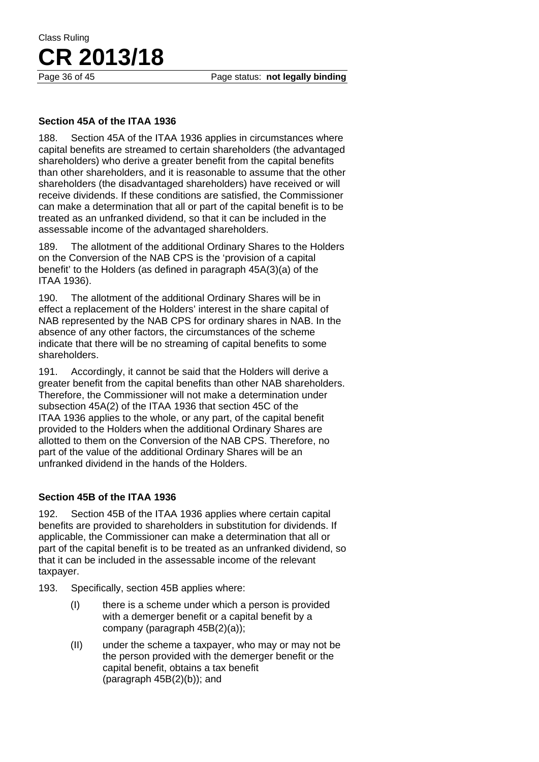### **Section 45A of the ITAA 1936**

188. Section 45A of the ITAA 1936 applies in circumstances where capital benefits are streamed to certain shareholders (the advantaged shareholders) who derive a greater benefit from the capital benefits than other shareholders, and it is reasonable to assume that the other shareholders (the disadvantaged shareholders) have received or will receive dividends. If these conditions are satisfied, the Commissioner can make a determination that all or part of the capital benefit is to be treated as an unfranked dividend, so that it can be included in the assessable income of the advantaged shareholders.

189. The allotment of the additional Ordinary Shares to the Holders on the Conversion of the NAB CPS is the 'provision of a capital benefit' to the Holders (as defined in paragraph 45A(3)(a) of the ITAA 1936).

190. The allotment of the additional Ordinary Shares will be in effect a replacement of the Holders' interest in the share capital of NAB represented by the NAB CPS for ordinary shares in NAB. In the absence of any other factors, the circumstances of the scheme indicate that there will be no streaming of capital benefits to some shareholders.

191. Accordingly, it cannot be said that the Holders will derive a greater benefit from the capital benefits than other NAB shareholders. Therefore, the Commissioner will not make a determination under subsection 45A(2) of the ITAA 1936 that section 45C of the ITAA 1936 applies to the whole, or any part, of the capital benefit provided to the Holders when the additional Ordinary Shares are allotted to them on the Conversion of the NAB CPS. Therefore, no part of the value of the additional Ordinary Shares will be an unfranked dividend in the hands of the Holders.

### **Section 45B of the ITAA 1936**

192. Section 45B of the ITAA 1936 applies where certain capital benefits are provided to shareholders in substitution for dividends. If applicable, the Commissioner can make a determination that all or part of the capital benefit is to be treated as an unfranked dividend, so that it can be included in the assessable income of the relevant taxpayer.

193. Specifically, section 45B applies where:

- (I) there is a scheme under which a person is provided with a demerger benefit or a capital benefit by a company (paragraph 45B(2)(a));
- (II) under the scheme a taxpayer, who may or may not be the person provided with the demerger benefit or the capital benefit, obtains a tax benefit (paragraph 45B(2)(b)); and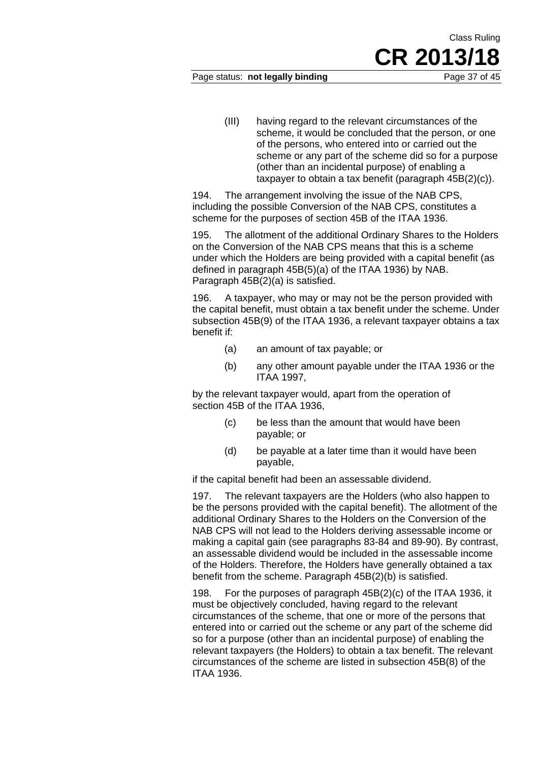### Page status: **not legally binding** Page 37 of 45

Class Ruling

(III) having regard to the relevant circumstances of the scheme, it would be concluded that the person, or one of the persons, who entered into or carried out the scheme or any part of the scheme did so for a purpose (other than an incidental purpose) of enabling a taxpayer to obtain a tax benefit (paragraph 45B(2)(c)).

194. The arrangement involving the issue of the NAB CPS, including the possible Conversion of the NAB CPS, constitutes a scheme for the purposes of section 45B of the ITAA 1936.

195. The allotment of the additional Ordinary Shares to the Holders on the Conversion of the NAB CPS means that this is a scheme under which the Holders are being provided with a capital benefit (as defined in paragraph 45B(5)(a) of the ITAA 1936) by NAB. Paragraph 45B(2)(a) is satisfied.

196. A taxpayer, who may or may not be the person provided with the capital benefit, must obtain a tax benefit under the scheme. Under subsection 45B(9) of the ITAA 1936, a relevant taxpayer obtains a tax benefit if:

- (a) an amount of tax payable; or
- (b) any other amount payable under the ITAA 1936 or the ITAA 1997,

by the relevant taxpayer would, apart from the operation of section 45B of the ITAA 1936,

- (c) be less than the amount that would have been payable; or
- (d) be payable at a later time than it would have been payable,

if the capital benefit had been an assessable dividend.

197. The relevant taxpayers are the Holders (who also happen to be the persons provided with the capital benefit). The allotment of the additional Ordinary Shares to the Holders on the Conversion of the NAB CPS will not lead to the Holders deriving assessable income or making a capital gain (see paragraphs 83-84 and 89-90). By contrast, an assessable dividend would be included in the assessable income of the Holders. Therefore, the Holders have generally obtained a tax benefit from the scheme. Paragraph 45B(2)(b) is satisfied.

198. For the purposes of paragraph 45B(2)(c) of the ITAA 1936, it must be objectively concluded, having regard to the relevant circumstances of the scheme, that one or more of the persons that entered into or carried out the scheme or any part of the scheme did so for a purpose (other than an incidental purpose) of enabling the relevant taxpayers (the Holders) to obtain a tax benefit. The relevant circumstances of the scheme are listed in subsection 45B(8) of the ITAA 1936.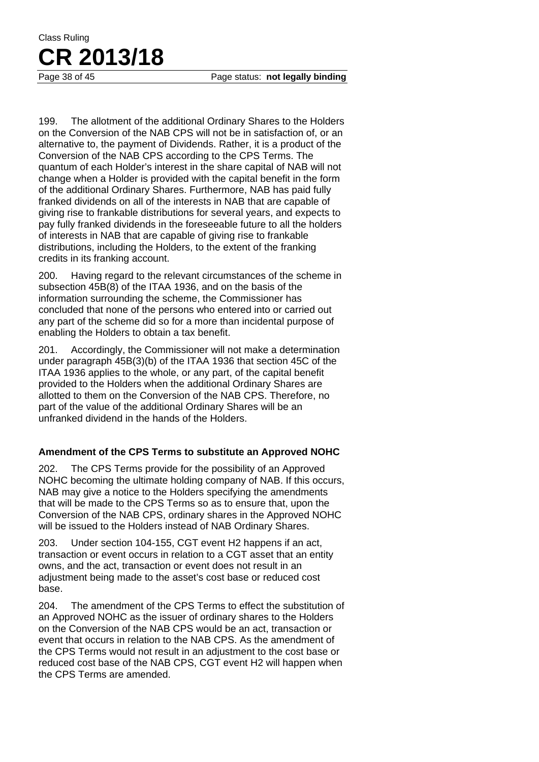Page 38 of 45 Page status: **not legally binding** 

199. The allotment of the additional Ordinary Shares to the Holders on the Conversion of the NAB CPS will not be in satisfaction of, or an alternative to, the payment of Dividends. Rather, it is a product of the Conversion of the NAB CPS according to the CPS Terms. The quantum of each Holder's interest in the share capital of NAB will not change when a Holder is provided with the capital benefit in the form of the additional Ordinary Shares. Furthermore, NAB has paid fully franked dividends on all of the interests in NAB that are capable of giving rise to frankable distributions for several years, and expects to pay fully franked dividends in the foreseeable future to all the holders of interests in NAB that are capable of giving rise to frankable distributions, including the Holders, to the extent of the franking credits in its franking account.

200. Having regard to the relevant circumstances of the scheme in subsection 45B(8) of the ITAA 1936, and on the basis of the information surrounding the scheme, the Commissioner has concluded that none of the persons who entered into or carried out any part of the scheme did so for a more than incidental purpose of enabling the Holders to obtain a tax benefit.

201. Accordingly, the Commissioner will not make a determination under paragraph 45B(3)(b) of the ITAA 1936 that section 45C of the ITAA 1936 applies to the whole, or any part, of the capital benefit provided to the Holders when the additional Ordinary Shares are allotted to them on the Conversion of the NAB CPS. Therefore, no part of the value of the additional Ordinary Shares will be an unfranked dividend in the hands of the Holders.

### **Amendment of the CPS Terms to substitute an Approved NOHC**

202. The CPS Terms provide for the possibility of an Approved NOHC becoming the ultimate holding company of NAB. If this occurs, NAB may give a notice to the Holders specifying the amendments that will be made to the CPS Terms so as to ensure that, upon the Conversion of the NAB CPS, ordinary shares in the Approved NOHC will be issued to the Holders instead of NAB Ordinary Shares.

203. Under section 104-155, CGT event H2 happens if an act, transaction or event occurs in relation to a CGT asset that an entity owns, and the act, transaction or event does not result in an adjustment being made to the asset's cost base or reduced cost base.

204. The amendment of the CPS Terms to effect the substitution of an Approved NOHC as the issuer of ordinary shares to the Holders on the Conversion of the NAB CPS would be an act, transaction or event that occurs in relation to the NAB CPS. As the amendment of the CPS Terms would not result in an adjustment to the cost base or reduced cost base of the NAB CPS, CGT event H2 will happen when the CPS Terms are amended.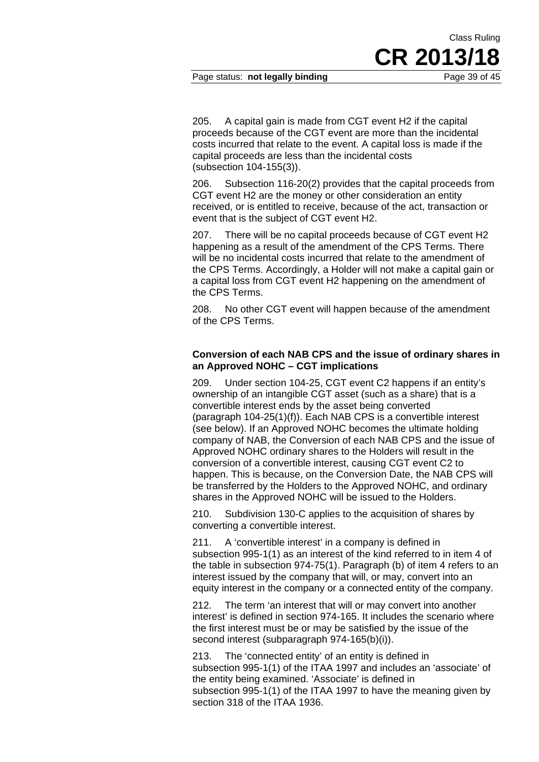Page status: **not legally binding** Page 39 of 45

205. A capital gain is made from CGT event H2 if the capital proceeds because of the CGT event are more than the incidental costs incurred that relate to the event. A capital loss is made if the capital proceeds are less than the incidental costs (subsection 104-155(3)).

206. Subsection 116-20(2) provides that the capital proceeds from CGT event H2 are the money or other consideration an entity received, or is entitled to receive, because of the act, transaction or event that is the subject of CGT event H2.

207. There will be no capital proceeds because of CGT event H2 happening as a result of the amendment of the CPS Terms. There will be no incidental costs incurred that relate to the amendment of the CPS Terms. Accordingly, a Holder will not make a capital gain or a capital loss from CGT event H2 happening on the amendment of the CPS Terms.

208. No other CGT event will happen because of the amendment of the CPS Terms.

### **Conversion of each NAB CPS and the issue of ordinary shares in an Approved NOHC – CGT implications**

209. Under section 104-25, CGT event C2 happens if an entity's ownership of an intangible CGT asset (such as a share) that is a convertible interest ends by the asset being converted (paragraph 104-25(1)(f)). Each NAB CPS is a convertible interest (see below). If an Approved NOHC becomes the ultimate holding company of NAB, the Conversion of each NAB CPS and the issue of Approved NOHC ordinary shares to the Holders will result in the conversion of a convertible interest, causing CGT event C2 to happen. This is because, on the Conversion Date, the NAB CPS will be transferred by the Holders to the Approved NOHC, and ordinary shares in the Approved NOHC will be issued to the Holders.

210. Subdivision 130-C applies to the acquisition of shares by converting a convertible interest.

211. A 'convertible interest' in a company is defined in subsection 995-1(1) as an interest of the kind referred to in item 4 of the table in subsection 974-75(1). Paragraph (b) of item 4 refers to an interest issued by the company that will, or may, convert into an equity interest in the company or a connected entity of the company.

212. The term 'an interest that will or may convert into another interest' is defined in section 974-165. It includes the scenario where the first interest must be or may be satisfied by the issue of the second interest (subparagraph 974-165(b)(i)).

213. The 'connected entity' of an entity is defined in subsection 995-1(1) of the ITAA 1997 and includes an 'associate' of the entity being examined. 'Associate' is defined in subsection 995-1(1) of the ITAA 1997 to have the meaning given by section 318 of the ITAA 1936.

**CR 2013/18** 

Class Ruling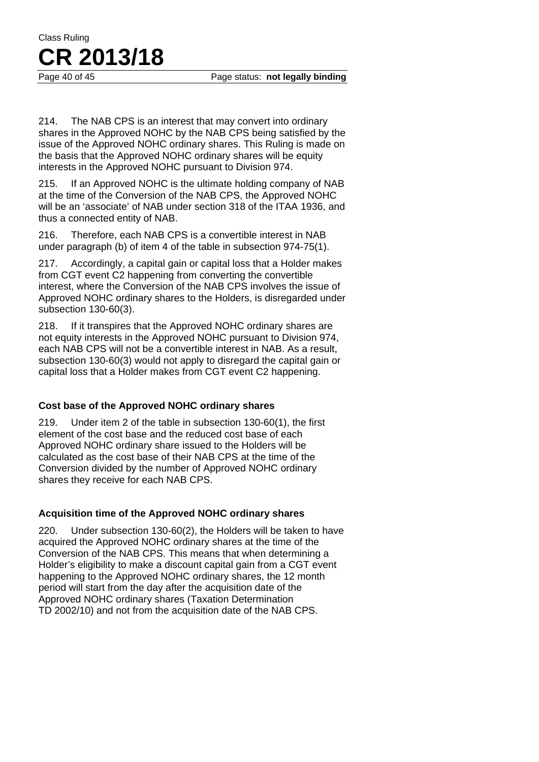214. The NAB CPS is an interest that may convert into ordinary shares in the Approved NOHC by the NAB CPS being satisfied by the issue of the Approved NOHC ordinary shares. This Ruling is made on the basis that the Approved NOHC ordinary shares will be equity interests in the Approved NOHC pursuant to Division 974.

215. If an Approved NOHC is the ultimate holding company of NAB at the time of the Conversion of the NAB CPS, the Approved NOHC will be an 'associate' of NAB under section 318 of the ITAA 1936, and thus a connected entity of NAB.

216. Therefore, each NAB CPS is a convertible interest in NAB under paragraph (b) of item 4 of the table in subsection 974-75(1).

217. Accordingly, a capital gain or capital loss that a Holder makes from CGT event C2 happening from converting the convertible interest, where the Conversion of the NAB CPS involves the issue of Approved NOHC ordinary shares to the Holders, is disregarded under subsection 130-60(3).

218. If it transpires that the Approved NOHC ordinary shares are not equity interests in the Approved NOHC pursuant to Division 974, each NAB CPS will not be a convertible interest in NAB. As a result, subsection 130-60(3) would not apply to disregard the capital gain or capital loss that a Holder makes from CGT event C2 happening.

### **Cost base of the Approved NOHC ordinary shares**

219. Under item 2 of the table in subsection 130-60(1), the first element of the cost base and the reduced cost base of each Approved NOHC ordinary share issued to the Holders will be calculated as the cost base of their NAB CPS at the time of the Conversion divided by the number of Approved NOHC ordinary shares they receive for each NAB CPS.

### **Acquisition time of the Approved NOHC ordinary shares**

220. Under subsection 130-60(2), the Holders will be taken to have acquired the Approved NOHC ordinary shares at the time of the Conversion of the NAB CPS. This means that when determining a Holder's eligibility to make a discount capital gain from a CGT event happening to the Approved NOHC ordinary shares, the 12 month period will start from the day after the acquisition date of the Approved NOHC ordinary shares (Taxation Determination TD 2002/10) and not from the acquisition date of the NAB CPS.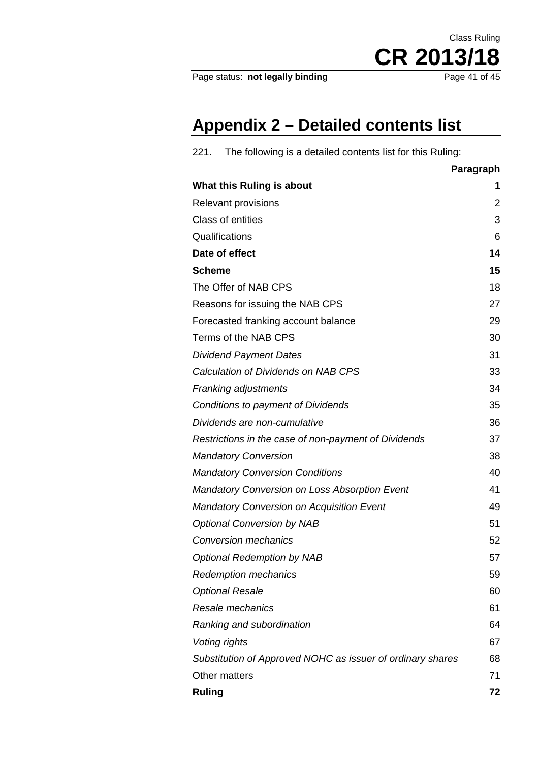Page status: not legally binding

CR 2013/18

Class Ruling

# **Appendix 2 – Detailed contents list**

| The following is a detailed contents list for this Ruling:<br>221. |           |
|--------------------------------------------------------------------|-----------|
|                                                                    | Paragraph |
| What this Ruling is about                                          | 1         |
| <b>Relevant provisions</b>                                         | 2         |
| <b>Class of entities</b>                                           | 3         |
| Qualifications                                                     | 6         |
| Date of effect                                                     | 14        |
| <b>Scheme</b>                                                      | 15        |
| The Offer of NAB CPS                                               | 18        |
| Reasons for issuing the NAB CPS                                    | 27        |
| Forecasted franking account balance                                | 29        |
| Terms of the NAB CPS                                               | 30        |
| <b>Dividend Payment Dates</b>                                      | 31        |
| Calculation of Dividends on NAB CPS                                | 33        |
| <b>Franking adjustments</b>                                        | 34        |
| Conditions to payment of Dividends                                 | 35        |
| Dividends are non-cumulative                                       | 36        |
| Restrictions in the case of non-payment of Dividends               | 37        |
| <b>Mandatory Conversion</b>                                        | 38        |
| <b>Mandatory Conversion Conditions</b>                             | 40        |
| <b>Mandatory Conversion on Loss Absorption Event</b>               | 41        |
| <b>Mandatory Conversion on Acquisition Event</b>                   | 49        |
| <b>Optional Conversion by NAB</b>                                  | 51        |
| <b>Conversion mechanics</b>                                        | 52        |
| <b>Optional Redemption by NAB</b>                                  | 57        |
| <b>Redemption mechanics</b>                                        | 59        |
| <b>Optional Resale</b>                                             | 60        |
| Resale mechanics                                                   | 61        |
| Ranking and subordination                                          | 64        |
| Voting rights                                                      | 67        |
| Substitution of Approved NOHC as issuer of ordinary shares         | 68        |
| Other matters                                                      | 71        |
| <b>Ruling</b>                                                      | 72        |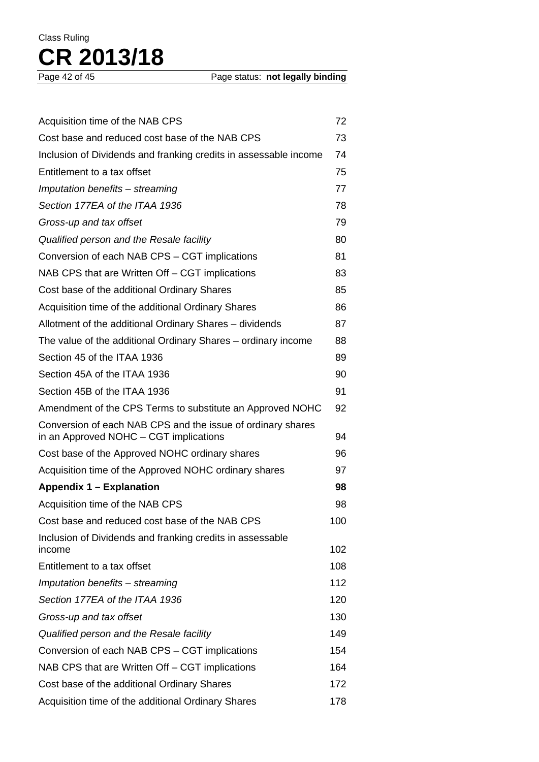| Acquisition time of the NAB CPS                                                                       | 72  |
|-------------------------------------------------------------------------------------------------------|-----|
| Cost base and reduced cost base of the NAB CPS                                                        | 73  |
| Inclusion of Dividends and franking credits in assessable income                                      | 74  |
| Entitlement to a tax offset                                                                           | 75  |
| Imputation benefits - streaming                                                                       | 77  |
| Section 177EA of the ITAA 1936                                                                        | 78  |
| Gross-up and tax offset                                                                               | 79  |
| Qualified person and the Resale facility                                                              | 80  |
| Conversion of each NAB CPS - CGT implications                                                         | 81  |
| NAB CPS that are Written Off – CGT implications                                                       | 83  |
| Cost base of the additional Ordinary Shares                                                           | 85  |
| Acquisition time of the additional Ordinary Shares                                                    | 86  |
| Allotment of the additional Ordinary Shares – dividends                                               | 87  |
| The value of the additional Ordinary Shares – ordinary income                                         | 88  |
| Section 45 of the ITAA 1936                                                                           | 89  |
| Section 45A of the ITAA 1936                                                                          | 90  |
| Section 45B of the ITAA 1936                                                                          | 91  |
| Amendment of the CPS Terms to substitute an Approved NOHC                                             | 92  |
| Conversion of each NAB CPS and the issue of ordinary shares<br>in an Approved NOHC - CGT implications | 94  |
| Cost base of the Approved NOHC ordinary shares                                                        | 96  |
| Acquisition time of the Approved NOHC ordinary shares                                                 | 97  |
| Appendix 1 - Explanation                                                                              | 98  |
| Acquisition time of the NAB CPS                                                                       | 98  |
| Cost base and reduced cost base of the NAB CPS                                                        | 100 |
| Inclusion of Dividends and franking credits in assessable<br>income                                   | 102 |
| Entitlement to a tax offset                                                                           | 108 |
| Imputation benefits - streaming                                                                       | 112 |
| Section 177EA of the ITAA 1936                                                                        | 120 |
| Gross-up and tax offset                                                                               | 130 |
| Qualified person and the Resale facility                                                              | 149 |
| Conversion of each NAB CPS - CGT implications                                                         | 154 |
| NAB CPS that are Written Off – CGT implications                                                       | 164 |
| Cost base of the additional Ordinary Shares                                                           | 172 |
| Acquisition time of the additional Ordinary Shares                                                    | 178 |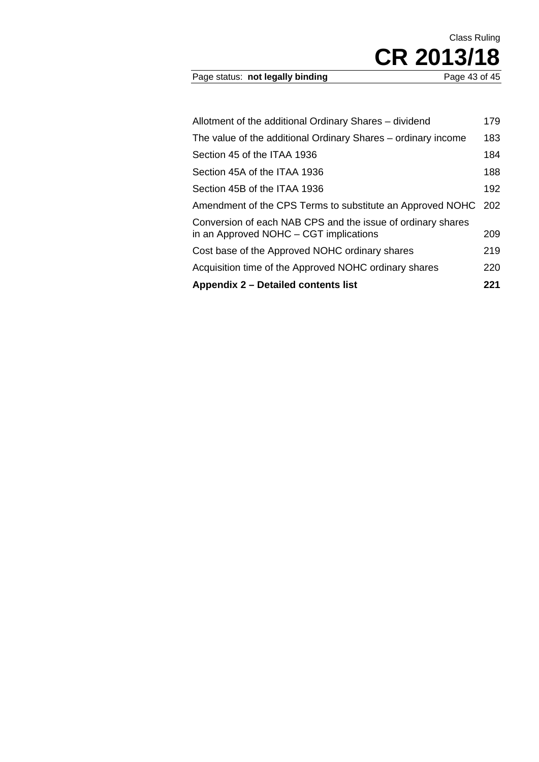### Page status: not legally binding

| Allotment of the additional Ordinary Shares - dividend                                                | 179 |
|-------------------------------------------------------------------------------------------------------|-----|
| The value of the additional Ordinary Shares – ordinary income                                         | 183 |
| Section 45 of the ITAA 1936                                                                           | 184 |
| Section 45A of the ITAA 1936                                                                          | 188 |
| Section 45B of the ITAA 1936                                                                          | 192 |
| Amendment of the CPS Terms to substitute an Approved NOHC                                             | 202 |
| Conversion of each NAB CPS and the issue of ordinary shares<br>in an Approved NOHC - CGT implications | 209 |
| Cost base of the Approved NOHC ordinary shares                                                        | 219 |
| Acquisition time of the Approved NOHC ordinary shares                                                 | 220 |
| Appendix 2 – Detailed contents list                                                                   | 221 |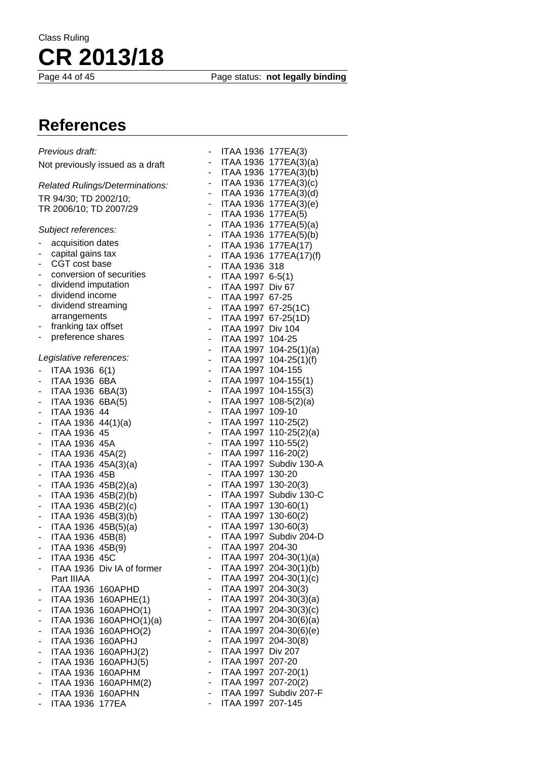Page status: **not legally binding** 

# **References**

| Previous draft:                                  |            | ITAA 1936 177EA(3)       |
|--------------------------------------------------|------------|--------------------------|
| Not previously issued as a draft                 | $\sim$     | ITAA 1936 177EA(3)(a)    |
|                                                  | $\sim$     | ITAA 1936 177EA(3)(b)    |
| Related Rulings/Determinations:                  | $\sim$     | ITAA 1936 177EA(3)(c)    |
|                                                  | $\sim$     | ITAA 1936 177EA(3)(d)    |
| TR 94/30; TD 2002/10;                            |            | - ITAA 1936 177EA(3)(e)  |
| TR 2006/10; TD 2007/29                           | $\sim 100$ | ITAA 1936 177EA(5)       |
|                                                  |            | - ITAA 1936 177EA(5)(a)  |
| Subject references:                              |            | - ITAA 1936 177EA(5)(b)  |
| acquisition dates                                |            | - ITAA 1936 177EA(17)    |
| capital gains tax<br>۰                           |            | - ITAA 1936 177EA(17)(f) |
| CGT cost base<br>٠                               |            | - ITAA 1936 318          |
| conversion of securities<br>۰                    |            | - ITAA 1997 6-5(1)       |
| dividend imputation<br>۰                         | $\sim$     | ITAA 1997 Div 67         |
| dividend income<br>-                             | $\sim$     |                          |
| dividend streaming<br>۰                          |            | ITAA 1997 67-25          |
| arrangements                                     |            | - ITAA 1997 67-25(1C)    |
| franking tax offset                              | $\sim$     | ITAA 1997 67-25(1D)      |
| ۳                                                | $\sim$     | ITAA 1997 Div 104        |
| preference shares<br>۰                           |            | ITAA 1997 104-25         |
|                                                  | $\sim 100$ | ITAA 1997 104-25(1)(a)   |
| Legislative references:                          |            | - ITAA 1997 104-25(1)(f) |
| ITAA 1936 6(1)                                   |            | - ITAA 1997 104-155      |
| ITAA 1936 6BA                                    |            | - ITAA 1997 104-155(1)   |
| ITAA 1936 6BA(3)<br>۰                            |            | - ITAA 1997 104-155(3)   |
| ITAA 1936 6BA(5)<br>۰                            |            | ITAA 1997 108-5(2)(a)    |
| ITAA 1936 44                                     | $\sim$     | ITAA 1997 109-10         |
| ITAA 1936 $44(1)(a)$<br>۰                        | $\sim$     | ITAA 1997 110-25(2)      |
| ITAA 1936 45<br>۰                                | $\sim$     | ITAA 1997 110-25(2)(a)   |
| <b>ITAA 1936 45A</b><br>۰                        | $\sim$     | ITAA 1997 110-55(2)      |
| ITAA 1936 45A(2)<br>۰                            |            | - ITAA 1997 116-20(2)    |
| ITAA 1936 45A(3)(a)<br>۰.                        | $\sim$     | ITAA 1997 Subdiv 130-A   |
| <b>ITAA 1936 45B</b>                             | $\sim 100$ | ITAA 1997 130-20         |
|                                                  |            | - ITAA 1997 130-20(3)    |
| ITAA 1936 45B(2)(a)<br>۰                         |            |                          |
| ITAA 1936 45B(2)(b)<br>۰                         |            | - ITAA 1997 Subdiv 130-C |
| ITAA 1936 45B(2)(c)<br>-                         |            | - ITAA 1997 130-60(1)    |
| ITAA 1936 45B(3)(b)<br>۰                         |            | - ITAA 1997 130-60(2)    |
| ITAA 1936 45B(5)(a)<br>۰                         |            | - ITAA 1997 130-60(3)    |
| ITAA 1936 45B(8)                                 | $\sim 100$ | ITAA 1997 Subdiv 204-D   |
| ITAA 1936 45B(9)<br>$\overline{\phantom{0}}$     | $\sim$     | ITAA 1997 204-30         |
| ITAA 1936 45C                                    |            | ITAA 1997 204-30(1)(a)   |
| ITAA 1936 Div IA of former                       | н.         | ITAA 1997 204-30(1)(b)   |
| Part IIIAA                                       | $\sim$     | ITAA 1997 204-30(1)(c)   |
| ITAA 1936 160APHD<br>۰                           | ÷.         | ITAA 1997 204-30(3)      |
| ITAA 1936 160APHE(1)<br>۰                        | - 1        | ITAA 1997 204-30(3)(a)   |
| ITAA 1936 160APHO(1)<br>-                        | $\sim$     | ITAA 1997 204-30(3)(c)   |
| ITAA 1936 160APHO(1)(a)                          | ÷.         | ITAA 1997 204-30(6)(a)   |
| ITAA 1936 160APHO(2)<br>-                        | e i        | ITAA 1997 204-30(6)(e)   |
| ITAA 1936 160APHJ<br>-                           | $\sim 100$ | ITAA 1997 204-30(8)      |
| ITAA 1936 160APHJ(2)<br>$\overline{\phantom{0}}$ | $\sim$     | ITAA 1997 Div 207        |
| ITAA 1936 160APHJ(5)                             | $\sim$     | ITAA 1997 207-20         |
| ITAA 1936 160APHM<br>-                           | $\sim$     | ITAA 1997 207-20(1)      |
|                                                  | $\sim$     | ITAA 1997 207-20(2)      |
| ITAA 1936 160APHM(2)<br>۰                        |            |                          |
| ITAA 1936 160APHN<br>$\overline{\phantom{0}}$    | $\sim$     | ITAA 1997 Subdiv 207-F   |
| <b>ITAA 1936 177EA</b><br>۰                      | ÷.         | ITAA 1997 207-145        |